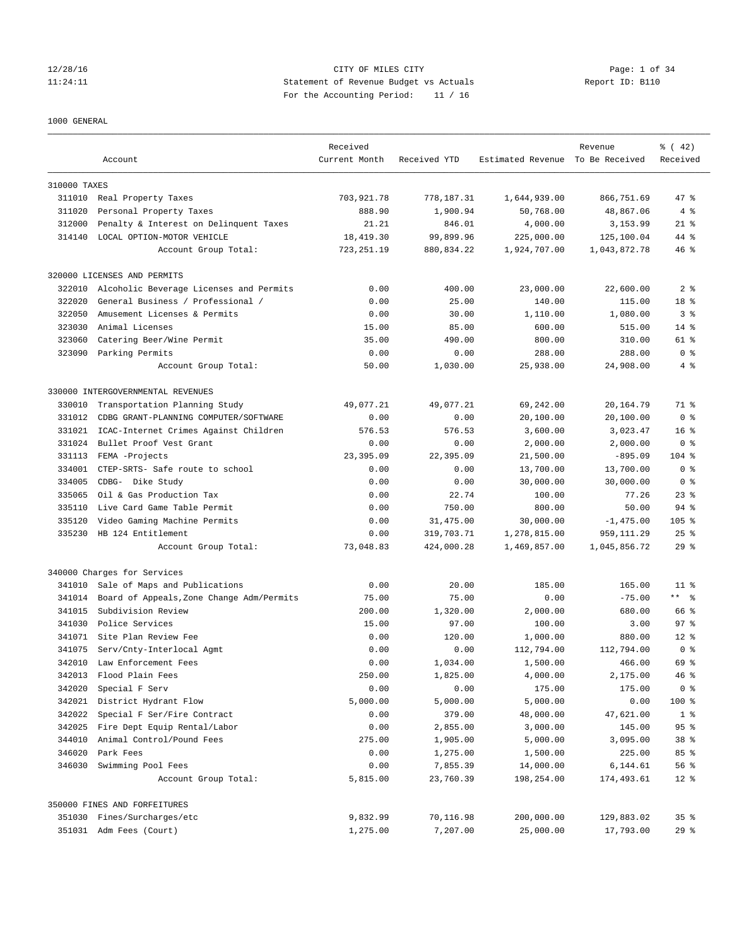### 12/28/16 CITY OF MILES CITY Page: 1 of 34 11:24:11 Statement of Revenue Budget vs Actuals Report ID: B110 For the Accounting Period: 11 / 16

#### 1000 GENERAL

|              | Account                                            | Received<br>Current Month | Received YTD             | Estimated Revenue To Be Received | Revenue                    | $\frac{1}{6}$ ( 42)<br>Received |
|--------------|----------------------------------------------------|---------------------------|--------------------------|----------------------------------|----------------------------|---------------------------------|
| 310000 TAXES |                                                    |                           |                          |                                  |                            |                                 |
|              |                                                    | 703,921.78                |                          |                                  | 866,751.69                 | 47.8                            |
| 311020       | 311010 Real Property Taxes                         | 888.90                    | 778,187.31               | 1,644,939.00                     |                            | 4%                              |
|              | Personal Property Taxes                            |                           | 1,900.94                 | 50,768.00                        | 48,867.06                  |                                 |
| 312000       | Penalty & Interest on Delinquent Taxes             | 21.21                     | 846.01                   | 4,000.00                         | 3,153.99                   | $21$ %                          |
| 314140       | LOCAL OPTION-MOTOR VEHICLE<br>Account Group Total: | 18,419.30<br>723, 251.19  | 99,899.96<br>880, 834.22 | 225,000.00<br>1,924,707.00       | 125,100.04<br>1,043,872.78 | 44 %<br>$46*$                   |
|              | 320000 LICENSES AND PERMITS                        |                           |                          |                                  |                            |                                 |
| 322010       | Alcoholic Beverage Licenses and Permits            | 0.00                      | 400.00                   | 23,000.00                        | 22,600.00                  | 2 <sub>8</sub>                  |
| 322020       | General Business / Professional /                  | 0.00                      | 25.00                    | 140.00                           | 115.00                     | 18 %                            |
| 322050       | Amusement Licenses & Permits                       | 0.00                      | 30.00                    | 1,110.00                         | 1,080.00                   | 3 <sup>8</sup>                  |
| 323030       | Animal Licenses                                    | 15.00                     | 85.00                    | 600.00                           | 515.00                     | $14*$                           |
| 323060       | Catering Beer/Wine Permit                          | 35.00                     | 490.00                   | 800.00                           | 310.00                     | 61 %                            |
| 323090       | Parking Permits                                    | 0.00                      | 0.00                     | 288.00                           | 288.00                     | 0 <sup>8</sup>                  |
|              | Account Group Total:                               | 50.00                     | 1,030.00                 | 25,938.00                        | 24,908.00                  | 4%                              |
|              | 330000 INTERGOVERNMENTAL REVENUES                  |                           |                          |                                  |                            |                                 |
| 330010       | Transportation Planning Study                      | 49,077.21                 | 49,077.21                | 69,242.00                        | 20,164.79                  | 71 %                            |
| 331012       | CDBG GRANT-PLANNING COMPUTER/SOFTWARE              | 0.00                      | 0.00                     | 20,100.00                        | 20,100.00                  | 0 <sup>8</sup>                  |
| 331021       | ICAC-Internet Crimes Against Children              | 576.53                    | 576.53                   | 3,600.00                         | 3,023.47                   | 16 <sup>8</sup>                 |
| 331024       | Bullet Proof Vest Grant                            | 0.00                      | 0.00                     | 2,000.00                         | 2,000.00                   | 0 <sup>8</sup>                  |
| 331113       | FEMA -Projects                                     | 23,395.09                 | 22,395.09                | 21,500.00                        | $-895.09$                  | $104$ %                         |
| 334001       | CTEP-SRTS- Safe route to school                    | 0.00                      | 0.00                     | 13,700.00                        | 13,700.00                  | 0 <sup>8</sup>                  |
| 334005       | CDBG- Dike Study                                   | 0.00                      | 0.00                     | 30,000.00                        | 30,000.00                  | 0 <sup>8</sup>                  |
| 335065       | Oil & Gas Production Tax                           | 0.00                      | 22.74                    | 100.00                           | 77.26                      | $23$ $%$                        |
| 335110       | Live Card Game Table Permit                        | 0.00                      | 750.00                   | 800.00                           | 50.00                      | $94$ %                          |
| 335120       | Video Gaming Machine Permits                       | 0.00                      | 31,475.00                | 30,000.00                        | $-1,475.00$                | $105$ %                         |
| 335230       | HB 124 Entitlement                                 | 0.00                      | 319,703.71               | 1,278,815.00                     | 959, 111.29                | $25$ $%$                        |
|              | Account Group Total:                               | 73,048.83                 | 424,000.28               | 1,469,857.00                     | 1,045,856.72               | $29$ %                          |
|              | 340000 Charges for Services                        |                           |                          |                                  |                            |                                 |
| 341010       | Sale of Maps and Publications                      | 0.00                      | 20.00                    | 185.00                           | 165.00                     | $11$ %                          |
| 341014       | Board of Appeals, Zone Change Adm/Permits          | 75.00                     | 75.00                    | 0.00                             | $-75.00$                   | $***$ $=$                       |
| 341015       | Subdivision Review                                 | 200.00                    | 1,320.00                 | 2,000.00                         | 680.00                     | 66 %                            |
| 341030       | Police Services                                    | 15.00                     | 97.00                    | 100.00                           | 3.00                       | 97 <sub>8</sub>                 |
| 341071       | Site Plan Review Fee                               | 0.00                      | 120.00                   | 1,000.00                         | 880.00                     | $12*$                           |
| 341075       | Serv/Cnty-Interlocal Agmt                          | 0.00                      | 0.00                     | 112,794.00                       | 112,794.00                 | 0 <sup>8</sup>                  |
| 342010       | Law Enforcement Fees                               | 0.00                      | 1,034.00                 | 1,500.00                         | 466.00                     | 69 %                            |
| 342013       | Flood Plain Fees                                   | 250.00                    | 1,825.00                 | 4,000.00                         | 2,175.00                   | 46%                             |
| 342020       | Special F Serv                                     | 0.00                      | 0.00                     | 175.00                           | 175.00                     | 0 <sup>8</sup>                  |
| 342021       | District Hydrant Flow                              | 5,000.00                  | 5,000.00                 | 5,000.00                         | 0.00                       | 100 %                           |
| 342022       | Special F Ser/Fire Contract                        | 0.00                      | 379.00                   | 48,000.00                        | 47,621.00                  | 1 <sup>8</sup>                  |
| 342025       | Fire Dept Equip Rental/Labor                       | 0.00                      | 2,855.00                 | 3,000.00                         | 145.00                     | 95 <sup>8</sup>                 |
| 344010       | Animal Control/Pound Fees                          | 275.00                    | 1,905.00                 | 5,000.00                         | 3,095.00                   | 38 %                            |
| 346020       | Park Fees                                          | 0.00                      | 1,275.00                 | 1,500.00                         | 225.00                     | 85 %                            |
| 346030       | Swimming Pool Fees                                 | 0.00                      | 7,855.39                 | 14,000.00                        | 6,144.61                   | 56 %                            |
|              | Account Group Total:                               | 5,815.00                  | 23,760.39                | 198,254.00                       | 174,493.61                 | $12$ %                          |
|              | 350000 FINES AND FORFEITURES                       |                           |                          |                                  |                            |                                 |
|              | 351030 Fines/Surcharges/etc                        | 9,832.99                  | 70,116.98                | 200,000.00                       | 129,883.02                 | 35 <sup>8</sup>                 |
|              | 351031 Adm Fees (Court)                            | 1,275.00                  | 7,207.00                 | 25,000.00                        | 17,793.00                  | 29%                             |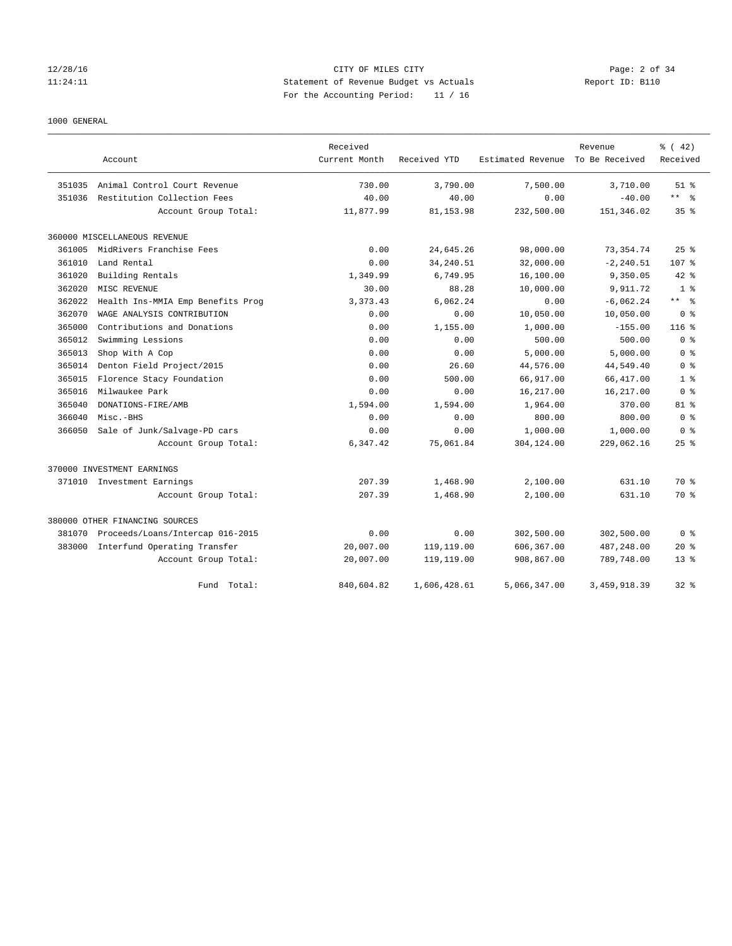### 12/28/16 CITY OF MILES CITY Page: 2 of 34 11:24:11 Statement of Revenue Budget vs Actuals Report ID: B110 For the Accounting Period: 11 / 16

#### 1000 GENERAL

|        |                                   | Received      |              |                   | Revenue        | % (42)          |
|--------|-----------------------------------|---------------|--------------|-------------------|----------------|-----------------|
|        | Account                           | Current Month | Received YTD | Estimated Revenue | To Be Received | Received        |
| 351035 | Animal Control Court Revenue      | 730.00        | 3,790.00     | 7,500.00          | 3,710.00       | $51$ $%$        |
| 351036 | Restitution Collection Fees       | 40.00         | 40.00        | 0.00              | $-40.00$       | ** 왕            |
|        | Account Group Total:              | 11,877.99     | 81, 153.98   | 232,500.00        | 151,346.02     | 35 <sup>8</sup> |
|        | 360000 MISCELLANEOUS REVENUE      |               |              |                   |                |                 |
| 361005 | MidRivers Franchise Fees          | 0.00          | 24,645.26    | 98,000.00         | 73, 354.74     | 25%             |
| 361010 | Land Rental                       | 0.00          | 34, 240.51   | 32,000.00         | $-2, 240.51$   | 107 %           |
| 361020 | Building Rentals                  | 1,349.99      | 6,749.95     | 16,100.00         | 9,350.05       | $42*$           |
| 362020 | MISC REVENUE                      | 30.00         | 88.28        | 10,000.00         | 9,911.72       | 1 <sup>8</sup>  |
| 362022 | Health Ins-MMIA Emp Benefits Prog | 3, 373.43     | 6,062.24     | 0.00              | $-6,062.24$    | ** %            |
| 362070 | WAGE ANALYSIS CONTRIBUTION        | 0.00          | 0.00         | 10,050.00         | 10,050.00      | 0 <sup>8</sup>  |
| 365000 | Contributions and Donations       | 0.00          | 1,155.00     | 1,000.00          | $-155.00$      | $116$ %         |
| 365012 | Swimming Lessions                 | 0.00          | 0.00         | 500.00            | 500.00         | 0 <sup>8</sup>  |
| 365013 | Shop With A Cop                   | 0.00          | 0.00         | 5,000.00          | 5,000.00       | 0 <sup>8</sup>  |
| 365014 | Denton Field Project/2015         | 0.00          | 26.60        | 44,576.00         | 44,549.40      | 0 <sup>8</sup>  |
| 365015 | Florence Stacy Foundation         | 0.00          | 500.00       | 66,917.00         | 66, 417.00     | 1 <sup>8</sup>  |
| 365016 | Milwaukee Park                    | 0.00          | 0.00         | 16,217.00         | 16,217.00      | 0 <sup>8</sup>  |
| 365040 | DONATIONS-FIRE/AMB                | 1,594.00      | 1,594.00     | 1,964.00          | 370.00         | $81$ %          |
| 366040 | Misc.-BHS                         | 0.00          | 0.00         | 800.00            | 800.00         | 0 <sup>8</sup>  |
| 366050 | Sale of Junk/Salvage-PD cars      | 0.00          | 0.00         | 1,000.00          | 1,000.00       | 0 <sup>8</sup>  |
|        | Account Group Total:              | 6,347.42      | 75,061.84    | 304,124.00        | 229,062.16     | $25$ $%$        |
|        | 370000 INVESTMENT EARNINGS        |               |              |                   |                |                 |
|        | 371010 Investment Earnings        | 207.39        | 1,468.90     | 2,100.00          | 631.10         | 70 %            |
|        | Account Group Total:              | 207.39        | 1,468.90     | 2,100.00          | 631.10         | 70 %            |
|        | 380000 OTHER FINANCING SOURCES    |               |              |                   |                |                 |
| 381070 | Proceeds/Loans/Intercap 016-2015  | 0.00          | 0.00         | 302,500.00        | 302,500.00     | 0 <sup>8</sup>  |
| 383000 | Interfund Operating Transfer      | 20,007.00     | 119,119.00   | 606,367.00        | 487,248.00     | $20*$           |
|        | Account Group Total:              | 20,007.00     | 119,119.00   | 908,867.00        | 789,748.00     | $13*$           |
|        | Total:<br>Fund                    | 840,604.82    | 1,606,428.61 | 5,066,347.00      | 3,459,918.39   | $32*$           |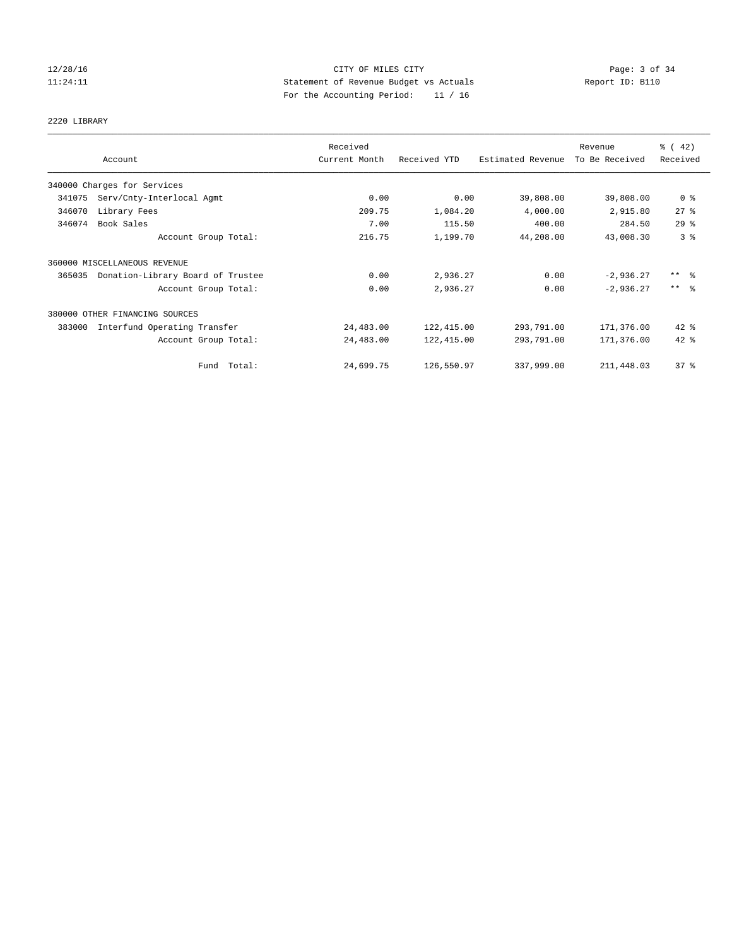### 12/28/16 CITY OF MILES CITY Page: 3 of 34 11:24:11 Statement of Revenue Budget vs Actuals Report ID: B110 For the Accounting Period: 11 / 16

# 2220 LIBRARY

|        |                                   | Received      |              |                   | Revenue        | $\frac{1}{6}$ ( 42) |
|--------|-----------------------------------|---------------|--------------|-------------------|----------------|---------------------|
|        | Account                           | Current Month | Received YTD | Estimated Revenue | To Be Received | Received            |
|        | 340000 Charges for Services       |               |              |                   |                |                     |
| 341075 | Serv/Cnty-Interlocal Agmt         | 0.00          | 0.00         | 39,808.00         | 39,808.00      | 0 <sup>8</sup>      |
| 346070 | Library Fees                      | 209.75        | 1,084.20     | 4,000.00          | 2,915.80       | 27%                 |
| 346074 | Book Sales                        | 7.00          | 115.50       | 400.00            | 284.50         | 29%                 |
|        | Account Group Total:              | 216.75        | 1,199.70     | 44,208.00         | 43,008.30      | 3 <sup>°</sup>      |
|        | 360000 MISCELLANEOUS REVENUE      |               |              |                   |                |                     |
| 365035 | Donation-Library Board of Trustee | 0.00          | 2,936.27     | 0.00              | $-2,936.27$    | $***$ $\frac{6}{5}$ |
|        | Account Group Total:              | 0.00          | 2,936.27     | 0.00              | $-2,936.27$    | $***$ $\frac{6}{5}$ |
|        | 380000 OTHER FINANCING SOURCES    |               |              |                   |                |                     |
| 383000 | Interfund Operating Transfer      | 24,483.00     | 122,415.00   | 293,791.00        | 171,376.00     | $42$ %              |
|        | Account Group Total:              | 24,483.00     | 122,415.00   | 293,791.00        | 171,376.00     | 42 %                |
|        | Fund Total:                       | 24,699.75     | 126,550.97   | 337,999.00        | 211,448.03     | $37$ %              |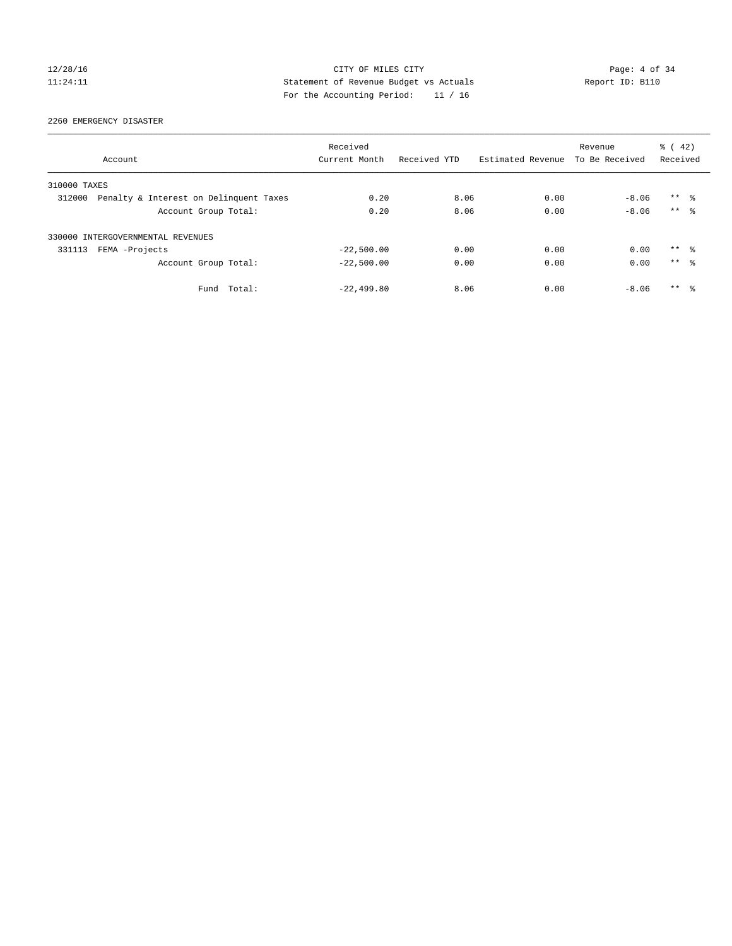### 12/28/16 CITY OF MILES CITY Page: 4 of 34 11:24:11 Statement of Revenue Budget vs Actuals Report ID: B110 For the Accounting Period: 11 / 16

2260 EMERGENCY DISASTER

|              | Account                                | Received<br>Current Month | Received YTD | Estimated Revenue | Revenue<br>To Be Received | $\frac{1}{6}$ ( 42)<br>Received |  |
|--------------|----------------------------------------|---------------------------|--------------|-------------------|---------------------------|---------------------------------|--|
| 310000 TAXES |                                        |                           |              |                   |                           |                                 |  |
| 312000       | Penalty & Interest on Delinquent Taxes | 0.20                      | 8.06         | 0.00              | $-8.06$                   | $***$ $\frac{6}{3}$             |  |
|              | Account Group Total:                   | 0.20                      | 8.06         | 0.00              | $-8.06$                   | $***$ $\approx$                 |  |
|              | 330000 INTERGOVERNMENTAL REVENUES      |                           |              |                   |                           |                                 |  |
| 331113       | FEMA -Projects                         | $-22,500.00$              | 0.00         | 0.00              | 0.00                      | $***$ $\frac{6}{3}$             |  |
|              | Account Group Total:                   | $-22,500.00$              | 0.00         | 0.00              | 0.00                      | $***$ $\approx$                 |  |
|              | Total:<br>Fund                         | $-22, 499.80$             | 8.06         | 0.00              | $-8.06$                   | $***$ $\frac{6}{3}$             |  |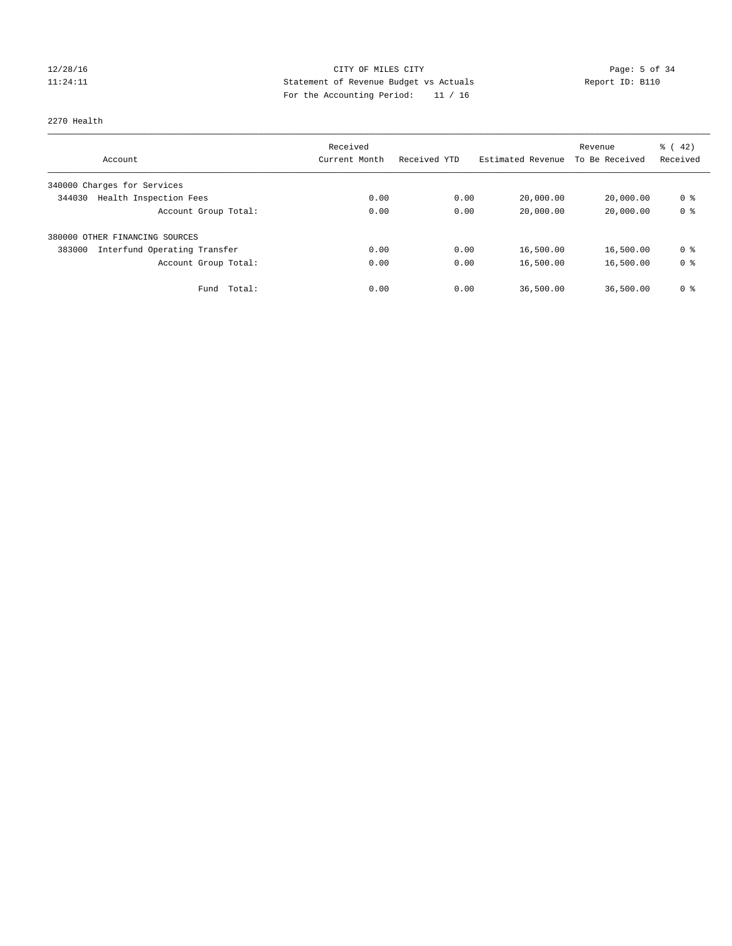# 12/28/16 CITY OF MILES CITY Page: 5 of 34 11:24:11 Statement of Revenue Budget vs Actuals Report ID: B110 For the Accounting Period: 11 / 16

#### 2270 Health

|                                        | Received      |              |                   | Revenue        | $\frac{3}{6}$ ( 42) |
|----------------------------------------|---------------|--------------|-------------------|----------------|---------------------|
| Account                                | Current Month | Received YTD | Estimated Revenue | To Be Received | Received            |
| 340000 Charges for Services            |               |              |                   |                |                     |
| Health Inspection Fees<br>344030       | 0.00          | 0.00         | 20,000.00         | 20,000.00      | 0 <sup>8</sup>      |
| Account Group Total:                   | 0.00          | 0.00         | 20,000.00         | 20,000.00      | 0 <sup>8</sup>      |
| 380000 OTHER FINANCING SOURCES         |               |              |                   |                |                     |
| Interfund Operating Transfer<br>383000 | 0.00          | 0.00         | 16,500.00         | 16,500.00      | 0 <sup>8</sup>      |
| Account Group Total:                   | 0.00          | 0.00         | 16,500.00         | 16,500.00      | 0 <sup>8</sup>      |
| Total:<br>Fund                         | 0.00          | 0.00         | 36,500.00         | 36,500.00      | 0 %                 |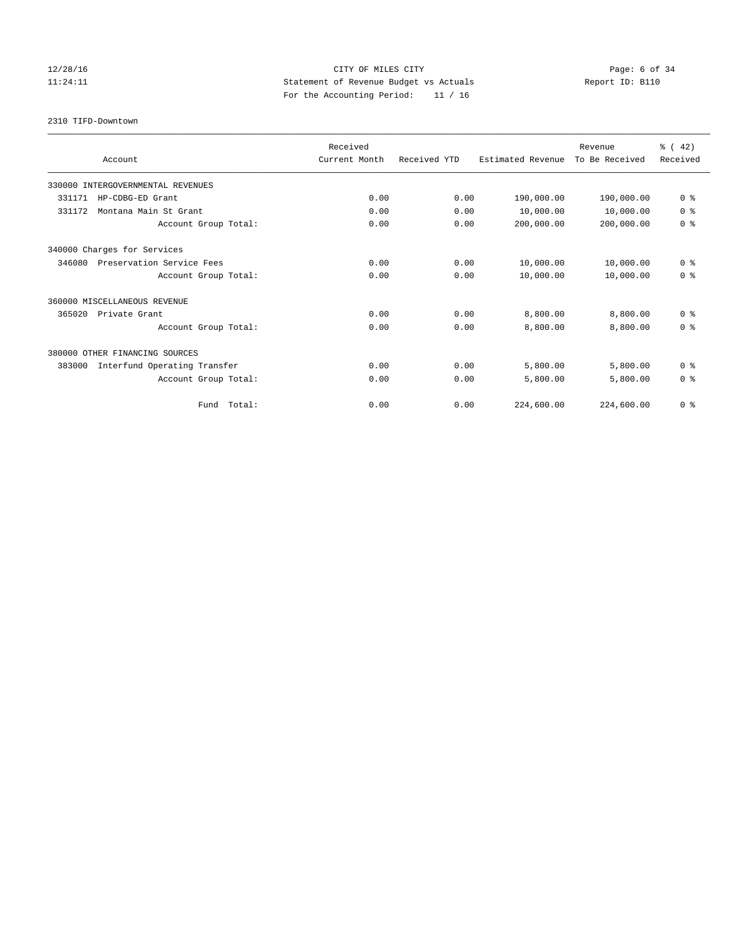# 12/28/16 CITY OF MILES CITY Page: 6 of 34 11:24:11 Statement of Revenue Budget vs Actuals Report ID: B110 For the Accounting Period: 11 / 16

2310 TIFD-Downtown

|                                        | Received      |              |                   | Revenue        | $\frac{3}{6}$ ( 42) |
|----------------------------------------|---------------|--------------|-------------------|----------------|---------------------|
| Account                                | Current Month | Received YTD | Estimated Revenue | To Be Received | Received            |
| 330000 INTERGOVERNMENTAL REVENUES      |               |              |                   |                |                     |
| 331171<br>HP-CDBG-ED Grant             | 0.00          | 0.00         | 190,000.00        | 190,000.00     | 0 <sup>8</sup>      |
| Montana Main St Grant<br>331172        | 0.00          | 0.00         | 10,000.00         | 10,000.00      | 0 <sup>8</sup>      |
| Account Group Total:                   | 0.00          | 0.00         | 200,000.00        | 200,000.00     | 0 <sup>8</sup>      |
| 340000 Charges for Services            |               |              |                   |                |                     |
| 346080<br>Preservation Service Fees    | 0.00          | 0.00         | 10,000.00         | 10,000.00      | 0 <sup>8</sup>      |
| Account Group Total:                   | 0.00          | 0.00         | 10,000.00         | 10,000.00      | 0 <sup>8</sup>      |
| 360000 MISCELLANEOUS REVENUE           |               |              |                   |                |                     |
| 365020<br>Private Grant                | 0.00          | 0.00         | 8,800.00          | 8,800.00       | 0 <sup>8</sup>      |
| Account Group Total:                   | 0.00          | 0.00         | 8,800.00          | 8,800.00       | 0 <sup>8</sup>      |
| 380000 OTHER FINANCING SOURCES         |               |              |                   |                |                     |
| 383000<br>Interfund Operating Transfer | 0.00          | 0.00         | 5,800.00          | 5,800.00       | 0 <sup>8</sup>      |
| Account Group Total:                   | 0.00          | 0.00         | 5,800.00          | 5,800.00       | 0 <sup>8</sup>      |
| Fund Total:                            | 0.00          | 0.00         | 224,600.00        | 224,600.00     | 0 <sup>8</sup>      |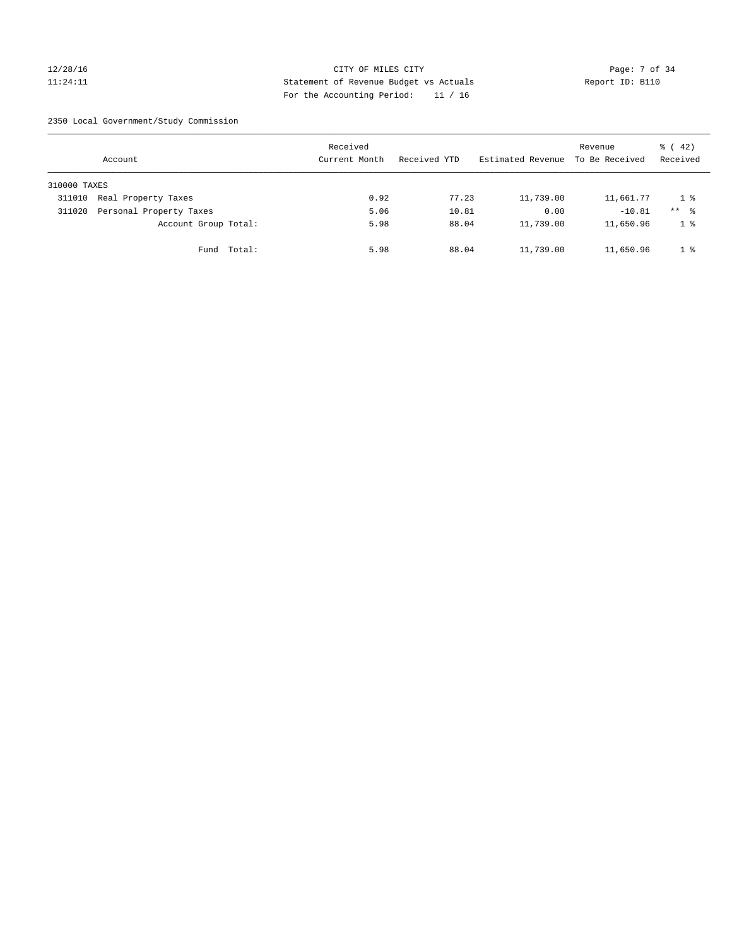### 12/28/16 CITY OF MILES CITY Page: 7 of 34 11:24:11 Statement of Revenue Budget vs Actuals Report ID: B110 For the Accounting Period: 11 / 16

2350 Local Government/Study Commission

|              | Account                 |             | Received<br>Current Month |      | Received YTD |       | Estimated Revenue | Revenue<br>To Be Received | $\frac{1}{6}$ ( 42)<br>Received |
|--------------|-------------------------|-------------|---------------------------|------|--------------|-------|-------------------|---------------------------|---------------------------------|
| 310000 TAXES |                         |             |                           |      |              |       |                   |                           |                                 |
| 311010       | Real Property Taxes     |             |                           | 0.92 |              | 77.23 | 11,739.00         | 11,661.77                 | 18                              |
| 311020       | Personal Property Taxes |             |                           | 5.06 |              | 10.81 | 0.00              | $-10.81$                  | $***$ %                         |
|              | Account Group Total:    |             |                           | 5.98 |              | 88.04 | 11,739.00         | 11,650.96                 | 1 <sup>°</sup>                  |
|              |                         | Fund Total: |                           | 5.98 |              | 88.04 | 11,739.00         | 11,650.96                 | 1 <sup>8</sup>                  |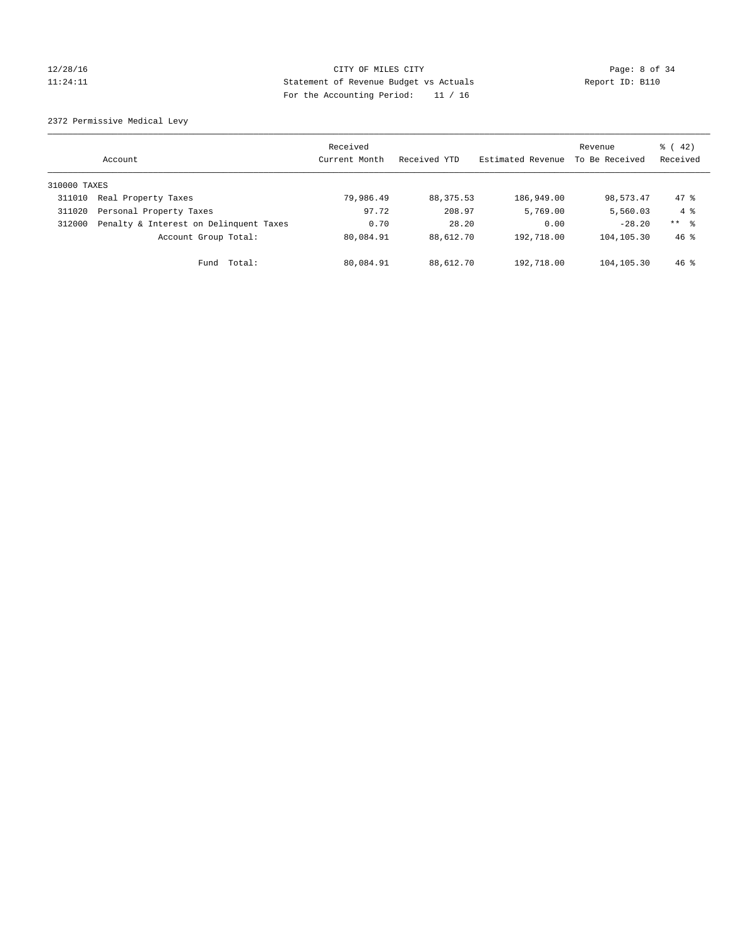### 12/28/16 CITY OF MILES CITY Page: 8 of 34 11:24:11 Statement of Revenue Budget vs Actuals Report ID: B110 For the Accounting Period: 11 / 16

2372 Permissive Medical Levy

|              | Account                                | Received<br>Current Month | Received YTD | Estimated Revenue | Revenue<br>To Be Received | $\frac{1}{6}$ ( 42)<br>Received |
|--------------|----------------------------------------|---------------------------|--------------|-------------------|---------------------------|---------------------------------|
| 310000 TAXES |                                        |                           |              |                   |                           |                                 |
| 311010       | Real Property Taxes                    | 79,986.49                 | 88,375.53    | 186,949.00        | 98,573.47                 | $47*$                           |
| 311020       | Personal Property Taxes                | 97.72                     | 208.97       | 5,769.00          | 5,560.03                  | $4 \text{ }$                    |
| 312000       | Penalty & Interest on Delinquent Taxes | 0.70                      | 28.20        | 0.00              | $-28.20$                  | $***$ $\frac{6}{5}$             |
|              | Account Group Total:                   | 80,084.91                 | 88,612.70    | 192,718.00        | 104,105.30                | $46*$                           |
|              | Total:<br>Fund                         | 80,084.91                 | 88,612.70    | 192,718.00        | 104,105.30                | $46$ %                          |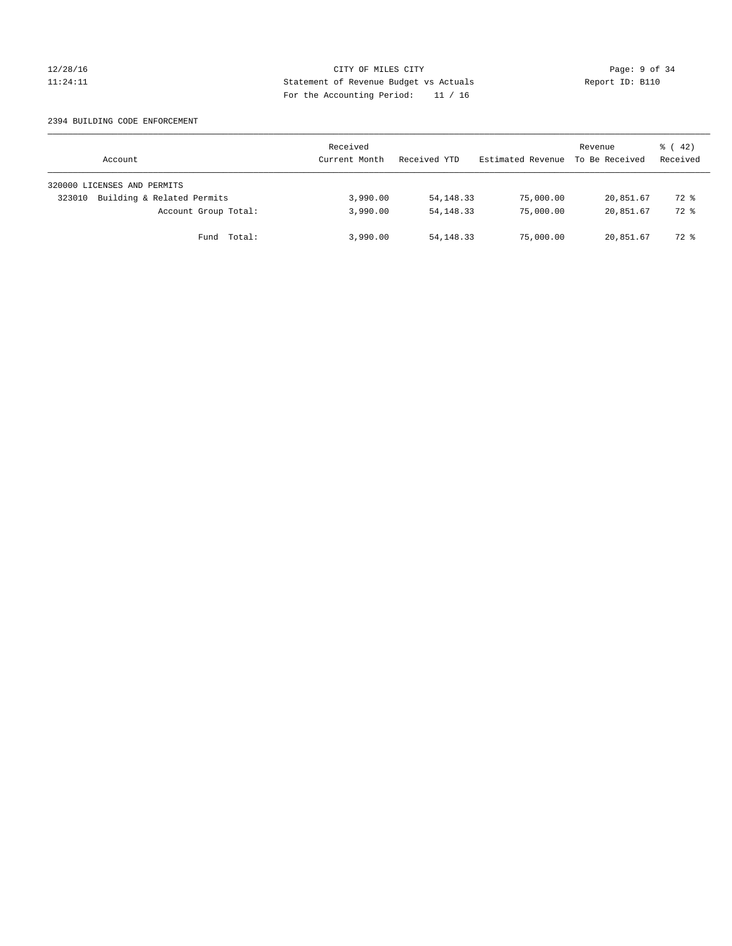### 12/28/16 CITY OF MILES CITY Page: 9 of 34 11:24:11 Statement of Revenue Budget vs Actuals Report ID: B110 For the Accounting Period: 11 / 16

#### 2394 BUILDING CODE ENFORCEMENT

| Account                              | Received<br>Current Month | Received YTD | Estimated Revenue | Revenue<br>To Be Received | $\frac{1}{6}$ ( 42)<br>Received |
|--------------------------------------|---------------------------|--------------|-------------------|---------------------------|---------------------------------|
| 320000 LICENSES AND PERMITS          |                           |              |                   |                           |                                 |
| Building & Related Permits<br>323010 | 3,990.00                  | 54, 148. 33  | 75,000.00         | 20,851.67                 | 72 %                            |
| Account Group Total:                 | 3,990.00                  | 54, 148, 33  | 75,000.00         | 20,851.67                 | 72 %                            |
| Fund Total:                          | 3,990.00                  | 54,148.33    | 75,000.00         | 20,851.67                 | 72 %                            |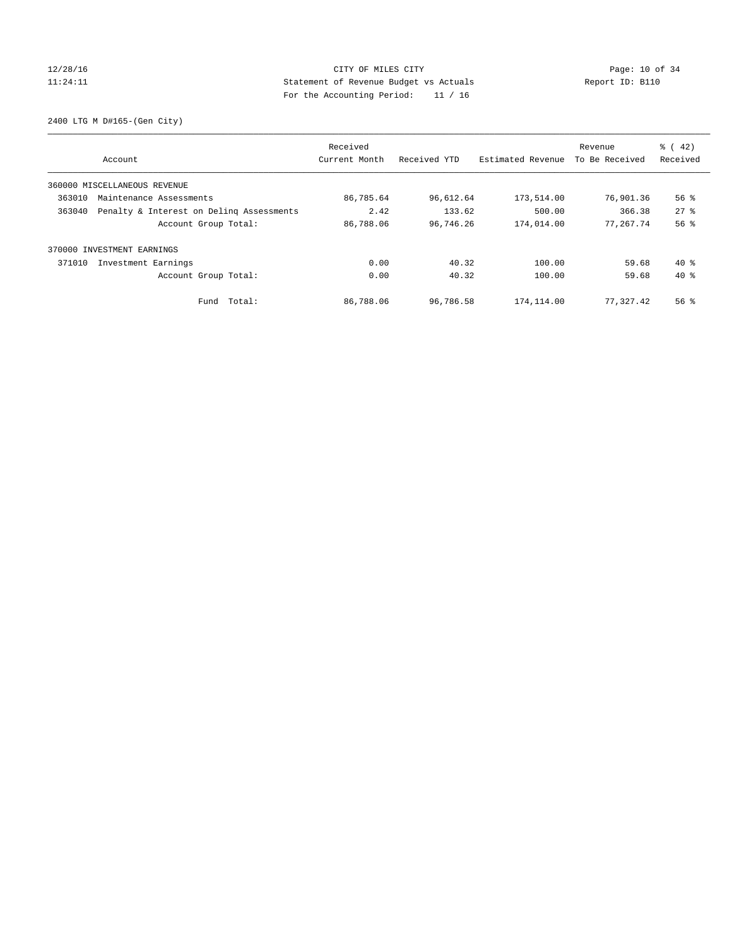### 12/28/16 Page: 10 of 34 11:24:11 Statement of Revenue Budget vs Actuals Report ID: B110 For the Accounting Period: 11 / 16

2400 LTG M D#165-(Gen City)

| Account                      |                                          | Received<br>Current Month | Received YTD | Estimated Revenue | Revenue<br>To Be Received | $\frac{6}{6}$ ( 42)<br>Received |
|------------------------------|------------------------------------------|---------------------------|--------------|-------------------|---------------------------|---------------------------------|
|                              |                                          |                           |              |                   |                           |                                 |
| 360000 MISCELLANEOUS REVENUE |                                          |                           |              |                   |                           |                                 |
| 363010                       | Maintenance Assessments                  | 86,785.64                 | 96,612.64    | 173,514.00        | 76,901.36                 | $56$ $\frac{6}{3}$              |
| 363040                       | Penalty & Interest on Deling Assessments | 2.42                      | 133.62       | 500.00            | 366.38                    | $27$ $%$                        |
|                              | Account Group Total:                     | 86,788.06                 | 96,746.26    | 174,014.00        | 77,267.74                 | 56%                             |
| 370000 INVESTMENT EARNINGS   |                                          |                           |              |                   |                           |                                 |
| 371010                       | Investment Earnings                      | 0.00                      | 40.32        | 100.00            | 59.68                     | $40*$                           |
|                              | Account Group Total:                     | 0.00                      | 40.32        | 100.00            | 59.68                     | $40*$                           |
|                              | Fund Total:                              | 86,788.06                 | 96,786.58    | 174,114.00        | 77,327.42                 | 56 %                            |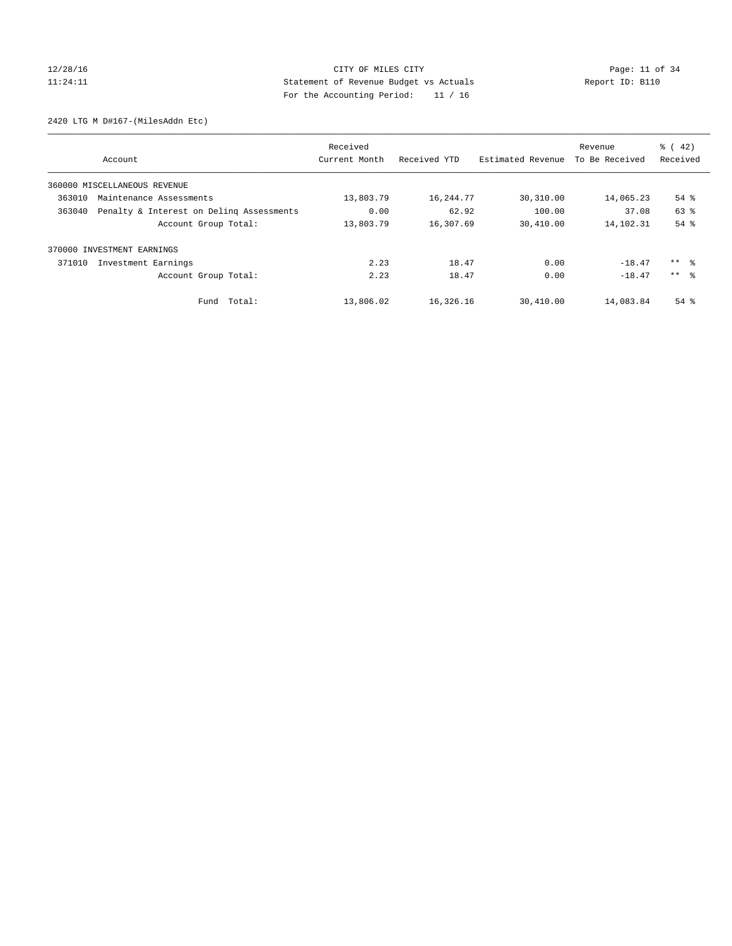### 12/28/16 Page: 11 of 34 11:24:11 Statement of Revenue Budget vs Actuals Report ID: B110 For the Accounting Period: 11 / 16

2420 LTG M D#167-(MilesAddn Etc)

|        | Account                                  | Received<br>Current Month | Received YTD | Estimated Revenue | Revenue<br>To Be Received | $\frac{1}{6}$ (42)<br>Received |
|--------|------------------------------------------|---------------------------|--------------|-------------------|---------------------------|--------------------------------|
|        |                                          |                           |              |                   |                           |                                |
|        | 360000 MISCELLANEOUS REVENUE             |                           |              |                   |                           |                                |
| 363010 | Maintenance Assessments                  | 13,803.79                 | 16,244.77    | 30,310.00         | 14,065.23                 | $54$ $%$                       |
| 363040 | Penalty & Interest on Deling Assessments | 0.00                      | 62.92        | 100.00            | 37.08                     | 63 %                           |
|        | Account Group Total:                     | 13,803.79                 | 16,307.69    | 30,410.00         | 14,102.31                 | 54 %                           |
| 370000 | INVESTMENT EARNINGS                      |                           |              |                   |                           |                                |
| 371010 | Investment Earnings                      | 2.23                      | 18.47        | 0.00              | $-18.47$                  | $***$ %                        |
|        | Account Group Total:                     | 2.23                      | 18.47        | 0.00              | $-18.47$                  | $***$ $\approx$                |
|        | Fund Total:                              | 13,806.02                 | 16,326.16    | 30,410.00         | 14,083.84                 | $54$ $%$                       |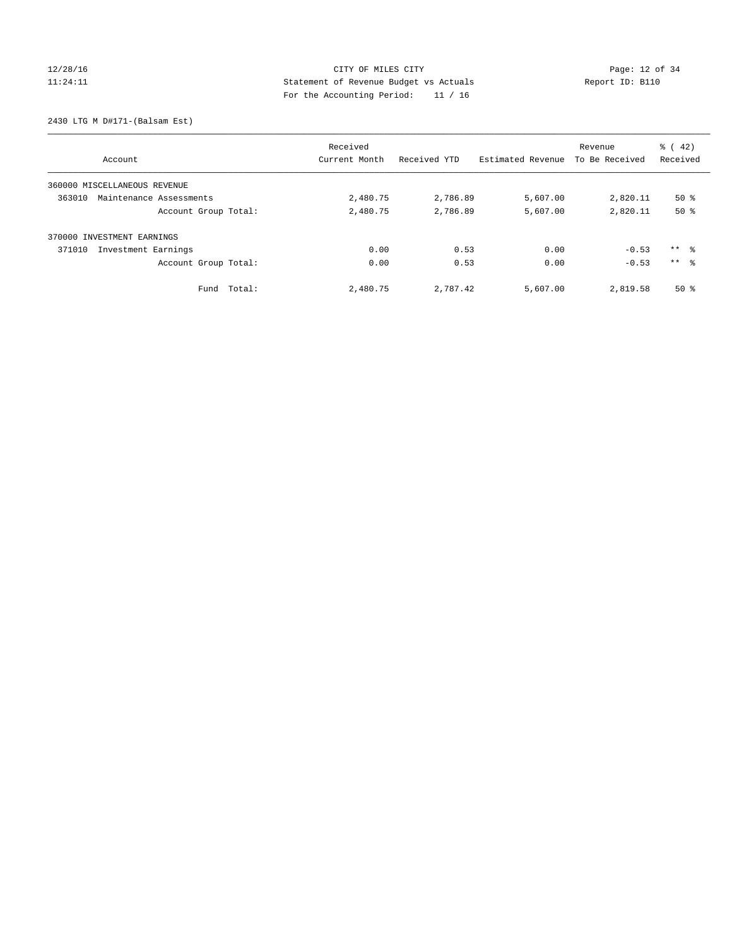### 12/28/16 Page: 12 of 34 11:24:11 Statement of Revenue Budget vs Actuals Report ID: B110 For the Accounting Period: 11 / 16

#### 2430 LTG M D#171-(Balsam Est)

|        | Account                      | Received<br>Current Month | Received YTD | Estimated Revenue | Revenue<br>To Be Received | $\frac{1}{6}$ ( 42)<br>Received |
|--------|------------------------------|---------------------------|--------------|-------------------|---------------------------|---------------------------------|
|        |                              |                           |              |                   |                           |                                 |
|        | 360000 MISCELLANEOUS REVENUE |                           |              |                   |                           |                                 |
| 363010 | Maintenance Assessments      | 2,480.75                  | 2,786.89     | 5,607.00          | 2,820.11                  | $50*$                           |
|        | Account Group Total:         | 2,480.75                  | 2,786.89     | 5,607.00          | 2,820.11                  | 50%                             |
| 370000 | INVESTMENT EARNINGS          |                           |              |                   |                           |                                 |
| 371010 | Investment Earnings          | 0.00                      | 0.53         | 0.00              | $-0.53$                   | $***$ $\frac{6}{3}$             |
|        | Account Group Total:         | 0.00                      | 0.53         | 0.00              | $-0.53$                   | $***$ $\approx$                 |
|        | Total:<br>Fund               | 2,480.75                  | 2,787.42     | 5,607.00          | 2,819.58                  | $50*$                           |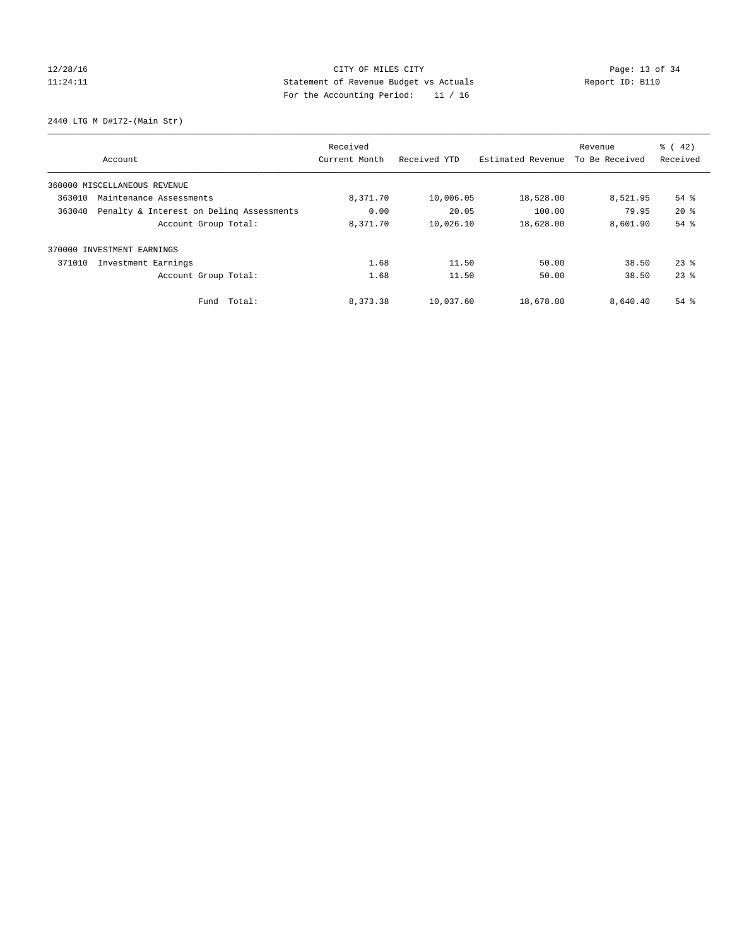# 12/28/16 Page: 13 of 34 11:24:11 Statement of Revenue Budget vs Actuals Report ID: B110 For the Accounting Period: 11 / 16

2440 LTG M D#172-(Main Str)

| Account                                            | Received<br>Current Month | Received YTD | Estimated Revenue | Revenue<br>To Be Received | $\frac{1}{6}$ ( 42)<br>Received |
|----------------------------------------------------|---------------------------|--------------|-------------------|---------------------------|---------------------------------|
|                                                    |                           |              |                   |                           |                                 |
| 360000 MISCELLANEOUS REVENUE                       |                           |              |                   |                           |                                 |
| 363010<br>Maintenance Assessments                  | 8,371.70                  | 10,006.05    | 18,528.00         | 8,521.95                  | $54$ $%$                        |
| Penalty & Interest on Deling Assessments<br>363040 | 0.00                      | 20.05        | 100.00            | 79.95                     | $20*$                           |
| Account Group Total:                               | 8,371.70                  | 10,026.10    | 18,628.00         | 8,601.90                  | 54 %                            |
| INVESTMENT EARNINGS<br>370000                      |                           |              |                   |                           |                                 |
| 371010<br>Investment Earnings                      | 1.68                      | 11.50        | 50.00             | 38.50                     | $23$ $%$                        |
| Account Group Total:                               | 1.68                      | 11.50        | 50.00             | 38.50                     | $23$ $%$                        |
| Fund Total:                                        | 8,373.38                  | 10,037.60    | 18,678.00         | 8,640.40                  | $54$ $%$                        |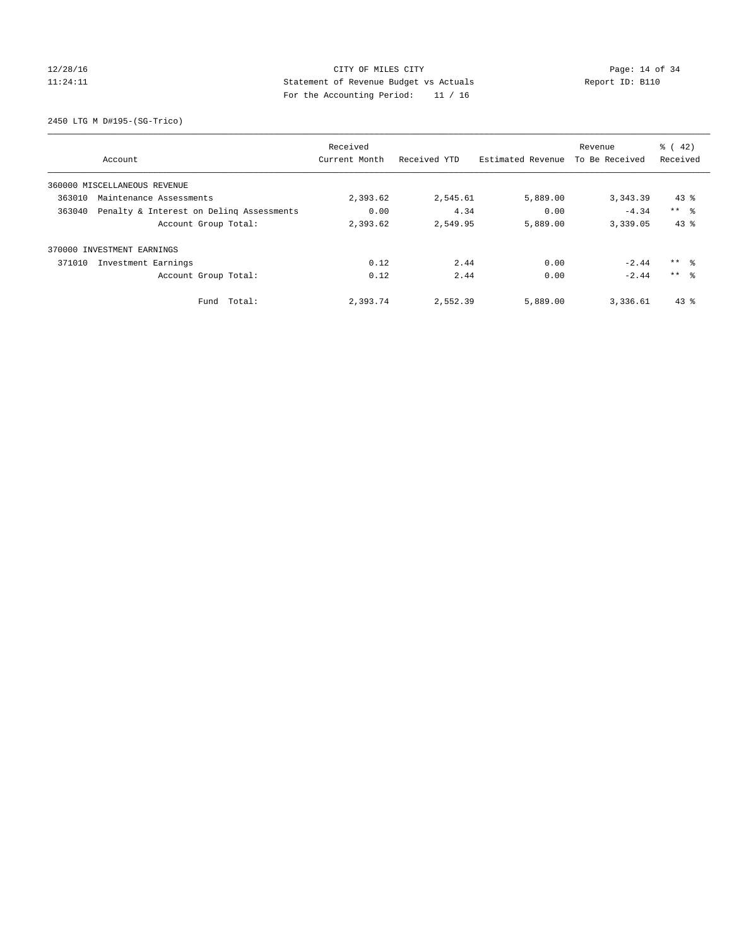# 12/28/16 Page: 14 of 34 11:24:11 Statement of Revenue Budget vs Actuals Report ID: B110 For the Accounting Period: 11 / 16

2450 LTG M D#195-(SG-Trico)

|        |                                          | Received      |              |                   | Revenue        | $\frac{1}{6}$ ( 42) |
|--------|------------------------------------------|---------------|--------------|-------------------|----------------|---------------------|
|        | Account                                  | Current Month | Received YTD | Estimated Revenue | To Be Received | Received            |
|        | 360000 MISCELLANEOUS REVENUE             |               |              |                   |                |                     |
| 363010 | Maintenance Assessments                  | 2,393.62      | 2,545.61     | 5,889.00          | 3,343.39       | $43$ %              |
| 363040 | Penalty & Interest on Deling Assessments | 0.00          | 4.34         | 0.00              | $-4.34$        | $***$ $\approx$     |
|        | Account Group Total:                     | 2,393.62      | 2,549.95     | 5,889.00          | 3,339.05       | 43%                 |
|        | 370000 INVESTMENT EARNINGS               |               |              |                   |                |                     |
| 371010 | Investment Earnings                      | 0.12          | 2.44         | 0.00              | $-2.44$        | $***$ $\frac{6}{3}$ |
|        | Account Group Total:                     | 0.12          | 2.44         | 0.00              | $-2.44$        | $***$ $\approx$     |
|        | Fund Total:                              | 2,393.74      | 2,552.39     | 5,889.00          | 3,336.61       | $43$ %              |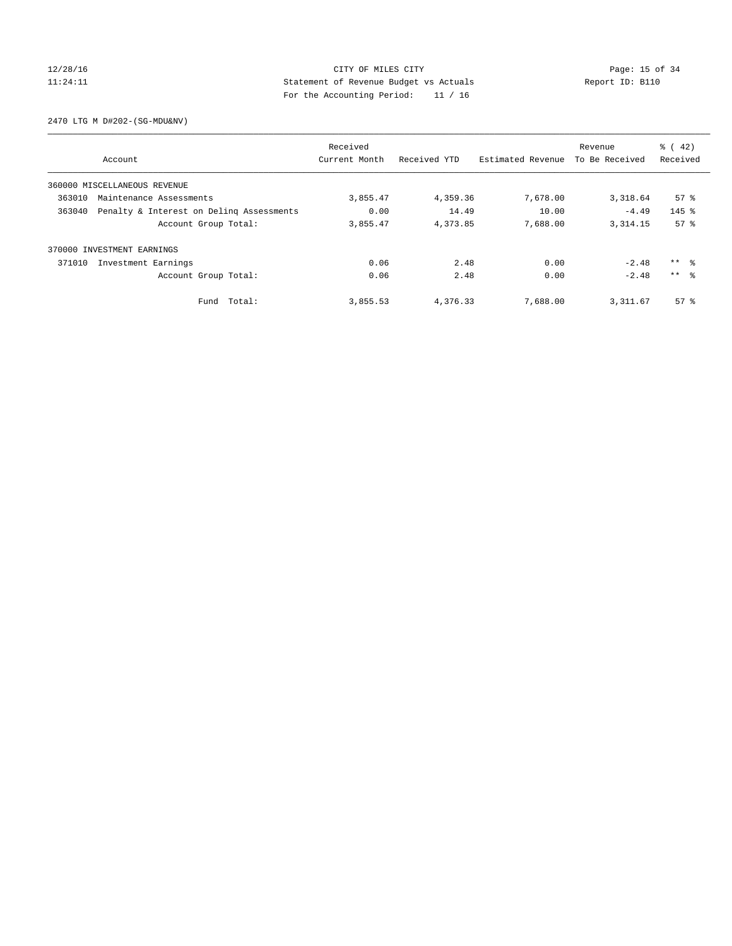### 12/28/16 Page: 15 of 34 11:24:11 Statement of Revenue Budget vs Actuals Report ID: B110 For the Accounting Period: 11 / 16

2470 LTG M D#202-(SG-MDU&NV)

|                                   |                                          | Received      |              |                   | Revenue        | $\frac{6}{6}$ ( 42) |
|-----------------------------------|------------------------------------------|---------------|--------------|-------------------|----------------|---------------------|
| Account                           |                                          | Current Month | Received YTD | Estimated Revenue | To Be Received | Received            |
| 360000 MISCELLANEOUS REVENUE      |                                          |               |              |                   |                |                     |
| 363010<br>Maintenance Assessments |                                          | 3,855.47      | 4,359.36     | 7,678.00          | 3,318.64       | 57 <sup>8</sup>     |
| 363040                            | Penalty & Interest on Deling Assessments | 0.00          | 14.49        | 10.00             | $-4.49$        | $145$ $%$           |
|                                   | Account Group Total:                     | 3,855.47      | 4,373.85     | 7,688.00          | 3, 314, 15     | 57 <sup>8</sup>     |
| INVESTMENT EARNINGS<br>370000     |                                          |               |              |                   |                |                     |
| 371010<br>Investment Earnings     |                                          | 0.06          | 2.48         | 0.00              | $-2.48$        | $***$ $\frac{6}{3}$ |
|                                   | Account Group Total:                     | 0.06          | 2.48         | 0.00              | $-2.48$        | $***$ $\approx$     |
|                                   | Fund Total:                              | 3,855.53      | 4,376.33     | 7,688.00          | 3, 311.67      | $57*$               |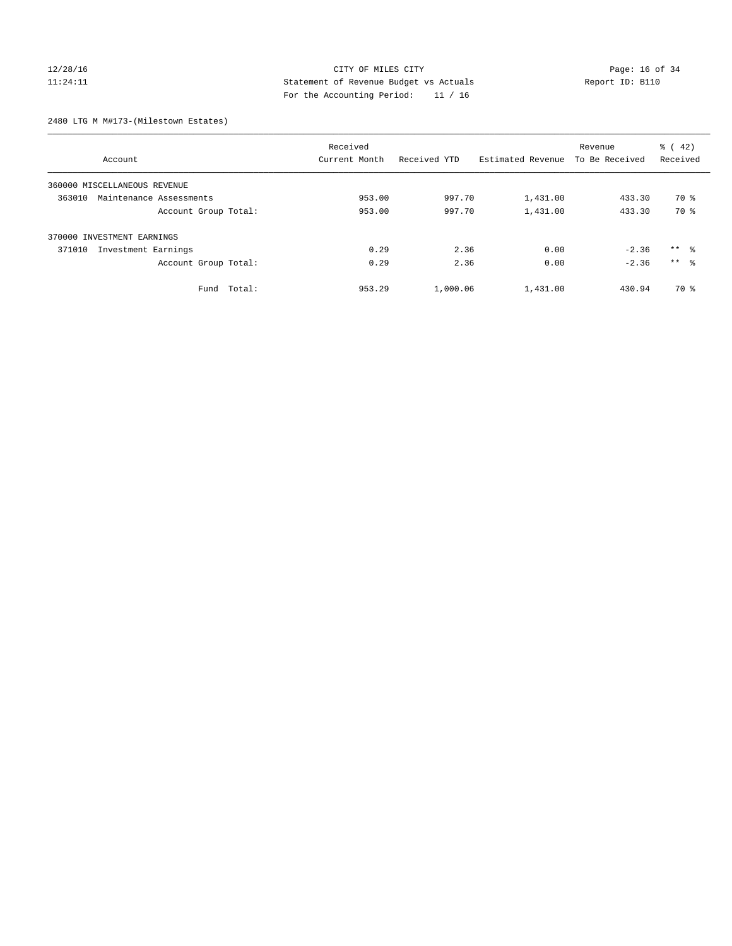### 12/28/16 Page: 16 of 34 11:24:11 Statement of Revenue Budget vs Actuals Report ID: B110 For the Accounting Period: 11 / 16

2480 LTG M M#173-(Milestown Estates)

|                                   | Received      |              |                   | Revenue        | $\frac{1}{6}$ (42)  |
|-----------------------------------|---------------|--------------|-------------------|----------------|---------------------|
| Account                           | Current Month | Received YTD | Estimated Revenue | To Be Received | Received            |
| 360000 MISCELLANEOUS REVENUE      |               |              |                   |                |                     |
| 363010<br>Maintenance Assessments | 953.00        | 997.70       | 1,431.00          | 433.30         | 70 %                |
| Account Group Total:              | 953.00        | 997.70       | 1,431.00          | 433.30         | 70 %                |
| 370000 INVESTMENT EARNINGS        |               |              |                   |                |                     |
| 371010<br>Investment Earnings     | 0.29          | 2.36         | 0.00              | $-2.36$        | $***$ $\frac{6}{3}$ |
| Account Group Total:              | 0.29          | 2.36         | 0.00              | $-2.36$        | ** %                |
| Total:<br>Fund                    | 953.29        | 1,000.06     | 1,431.00          | 430.94         | 70 %                |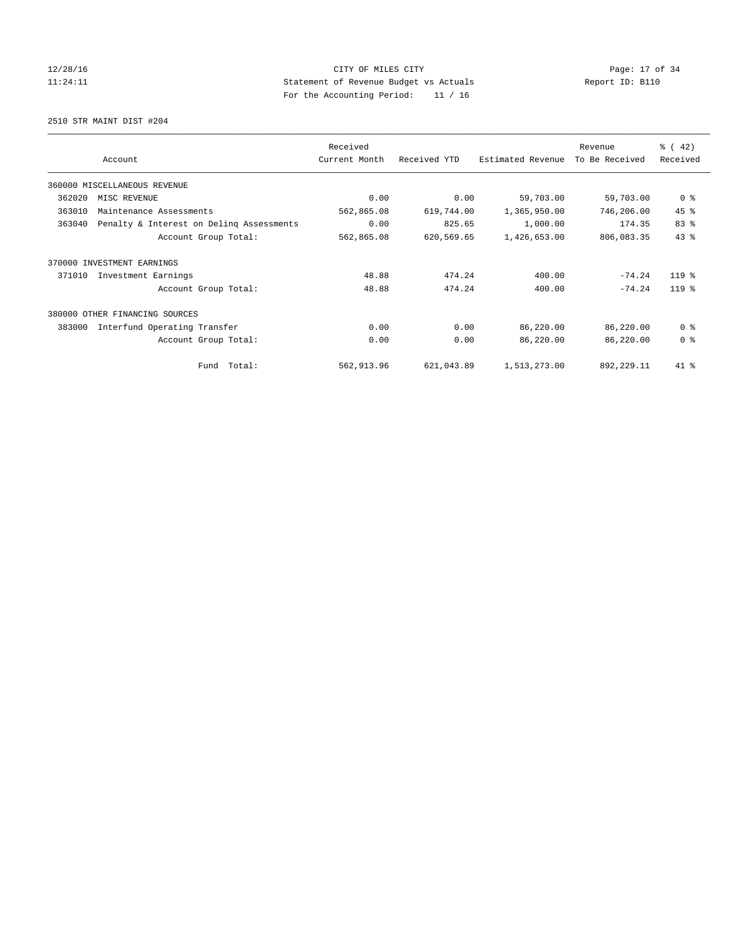### 12/28/16 Page: 17 of 34 11:24:11 Statement of Revenue Budget vs Actuals Report ID: B110 For the Accounting Period: 11 / 16

2510 STR MAINT DIST #204

|        |                                          | Received      |              |                   | Revenue        | $\frac{3}{6}$ ( 42) |
|--------|------------------------------------------|---------------|--------------|-------------------|----------------|---------------------|
|        | Account                                  | Current Month | Received YTD | Estimated Revenue | To Be Received | Received            |
|        | 360000 MISCELLANEOUS REVENUE             |               |              |                   |                |                     |
| 362020 | MISC REVENUE                             | 0.00          | 0.00         | 59,703.00         | 59,703.00      | 0 <sup>8</sup>      |
| 363010 | Maintenance Assessments                  | 562,865.08    | 619,744.00   | 1,365,950.00      | 746,206.00     | 45 %                |
| 363040 | Penalty & Interest on Deling Assessments | 0.00          | 825.65       | 1,000.00          | 174.35         | 83 %                |
|        | Account Group Total:                     | 562,865.08    | 620,569.65   | 1,426,653.00      | 806,083.35     | 43%                 |
| 370000 | INVESTMENT EARNINGS                      |               |              |                   |                |                     |
| 371010 | Investment Earnings                      | 48.88         | 474.24       | 400.00            | $-74.24$       | $119$ %             |
|        | Account Group Total:                     | 48.88         | 474.24       | 400.00            | $-74.24$       | $119*$              |
|        | 380000 OTHER FINANCING SOURCES           |               |              |                   |                |                     |
| 383000 | Interfund Operating Transfer             | 0.00          | 0.00         | 86,220.00         | 86,220.00      | 0 <sup>8</sup>      |
|        | Account Group Total:                     | 0.00          | 0.00         | 86,220.00         | 86,220.00      | 0 <sup>8</sup>      |
|        | Fund Total:                              | 562,913.96    | 621,043.89   | 1,513,273.00      | 892,229.11     | 41 %                |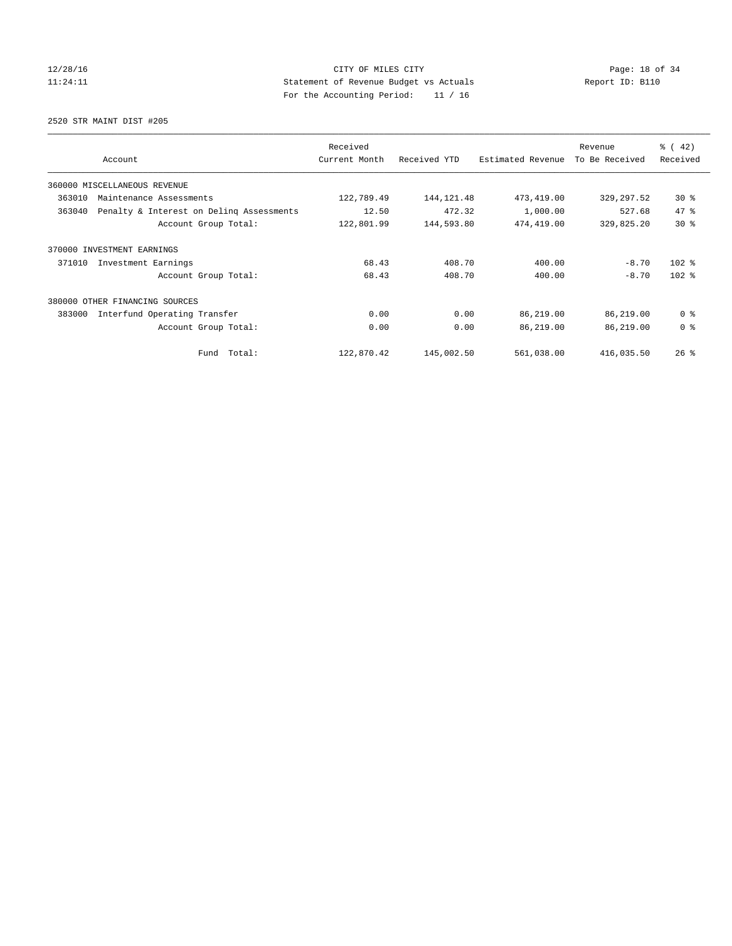### 12/28/16 Page: 18 of 34 11:24:11 Statement of Revenue Budget vs Actuals Report ID: B110 For the Accounting Period: 11 / 16

2520 STR MAINT DIST #205

| Account                                            | Received<br>Current Month | Received YTD | Estimated Revenue | Revenue<br>To Be Received | $\frac{1}{6}$ ( 42)<br>Received |
|----------------------------------------------------|---------------------------|--------------|-------------------|---------------------------|---------------------------------|
|                                                    |                           |              |                   |                           |                                 |
| 360000 MISCELLANEOUS REVENUE                       |                           |              |                   |                           |                                 |
| 363010<br>Maintenance Assessments                  | 122,789.49                | 144, 121.48  | 473,419.00        | 329,297.52                | $30*$                           |
| 363040<br>Penalty & Interest on Deling Assessments | 12.50                     | 472.32       | 1,000.00          | 527.68                    | 47.8                            |
| Account Group Total:                               | 122,801.99                | 144,593.80   | 474,419.00        | 329,825.20                | $30*$                           |
| 370000 INVESTMENT EARNINGS                         |                           |              |                   |                           |                                 |
| 371010<br>Investment Earnings                      | 68.43                     | 408.70       | 400.00            | $-8.70$                   | $102$ %                         |
| Account Group Total:                               | 68.43                     | 408.70       | 400.00            | $-8.70$                   | $102$ %                         |
| 380000<br>OTHER FINANCING SOURCES                  |                           |              |                   |                           |                                 |
| 383000<br>Interfund Operating Transfer             | 0.00                      | 0.00         | 86,219.00         | 86,219.00                 | 0 <sup>8</sup>                  |
| Account Group Total:                               | 0.00                      | 0.00         | 86,219.00         | 86,219.00                 | 0 <sup>8</sup>                  |
| Fund Total:                                        | 122,870.42                | 145,002.50   | 561,038.00        | 416,035.50                | $26$ %                          |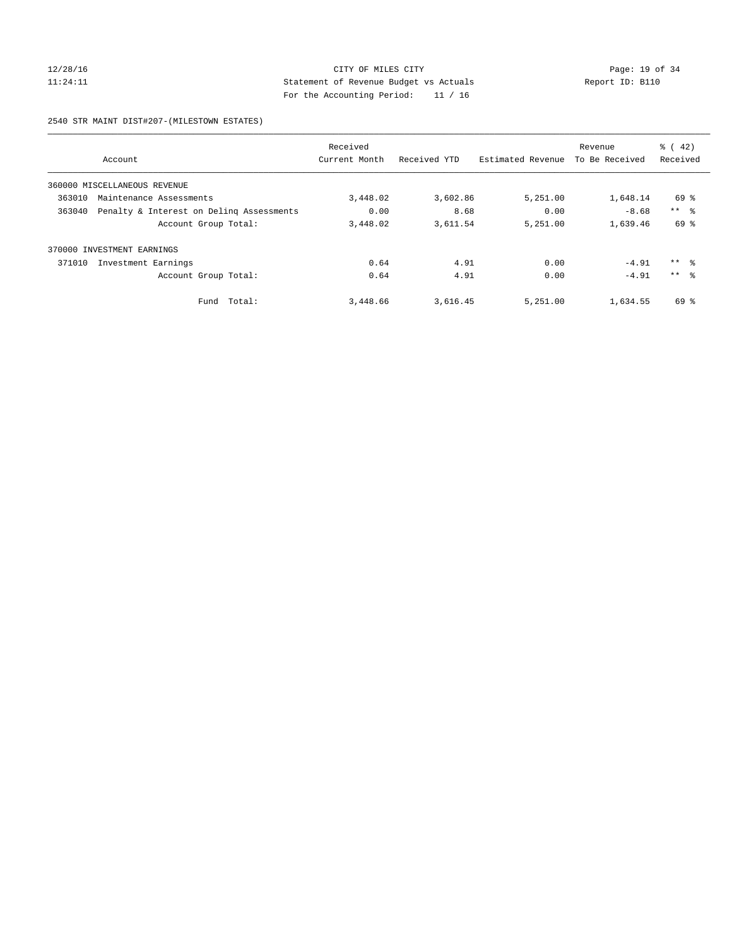### 12/28/16 Page: 19 of 34 11:24:11 Statement of Revenue Budget vs Actuals Report ID: B110 For the Accounting Period: 11 / 16

2540 STR MAINT DIST#207-(MILESTOWN ESTATES)

|        |                                          | Received      |              |                   | Revenue        | $\frac{1}{6}$ ( 42) |
|--------|------------------------------------------|---------------|--------------|-------------------|----------------|---------------------|
|        | Account                                  | Current Month | Received YTD | Estimated Revenue | To Be Received | Received            |
|        | 360000 MISCELLANEOUS REVENUE             |               |              |                   |                |                     |
| 363010 | Maintenance Assessments                  | 3,448.02      | 3,602.86     | 5,251.00          | 1,648.14       | 69 %                |
| 363040 | Penalty & Interest on Deling Assessments | 0.00          | 8.68         | 0.00              | $-8.68$        | $***$ $\approx$     |
|        | Account Group Total:                     | 3,448.02      | 3,611.54     | 5,251.00          | 1,639.46       | 69 %                |
|        | 370000 INVESTMENT EARNINGS               |               |              |                   |                |                     |
| 371010 | Investment Earnings                      | 0.64          | 4.91         | 0.00              | $-4.91$        | $***$ $\frac{6}{3}$ |
|        | Account Group Total:                     | 0.64          | 4.91         | 0.00              | $-4.91$        | $***$ $\approx$     |
|        | Total:<br>Fund                           | 3,448.66      | 3,616.45     | 5,251.00          | 1,634.55       | 69 %                |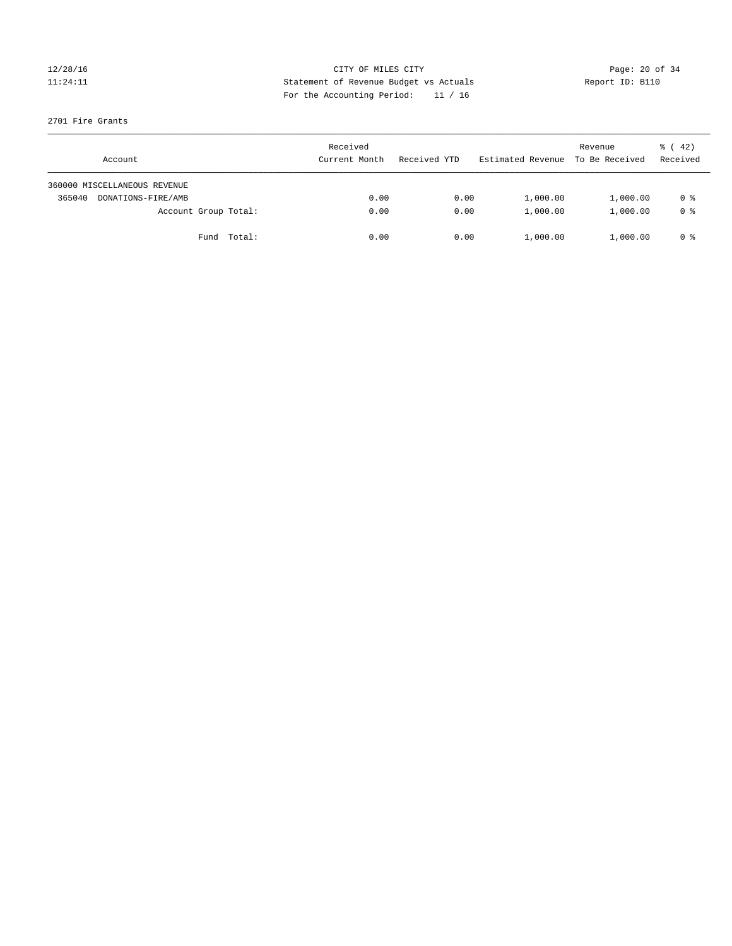### 12/28/16 Page: 20 of 34 11:24:11 Statement of Revenue Budget vs Actuals Report ID: B110 For the Accounting Period: 11 / 16

#### 2701 Fire Grants

| Account                      | Received<br>Current Month | Received YTD | Estimated Revenue | Revenue<br>To Be Received | $\frac{1}{6}$ ( 42)<br>Received |
|------------------------------|---------------------------|--------------|-------------------|---------------------------|---------------------------------|
| 360000 MISCELLANEOUS REVENUE |                           |              |                   |                           |                                 |
| 365040<br>DONATIONS-FIRE/AMB | 0.00                      | 0.00         | 1,000.00          | 1,000.00                  | 0 %                             |
| Account Group Total:         | 0.00                      | 0.00         | 1,000.00          | 1,000.00                  | 0 %                             |
| Fund Total:                  | 0.00                      | 0.00         | 1,000.00          | 1,000.00                  | 0 %                             |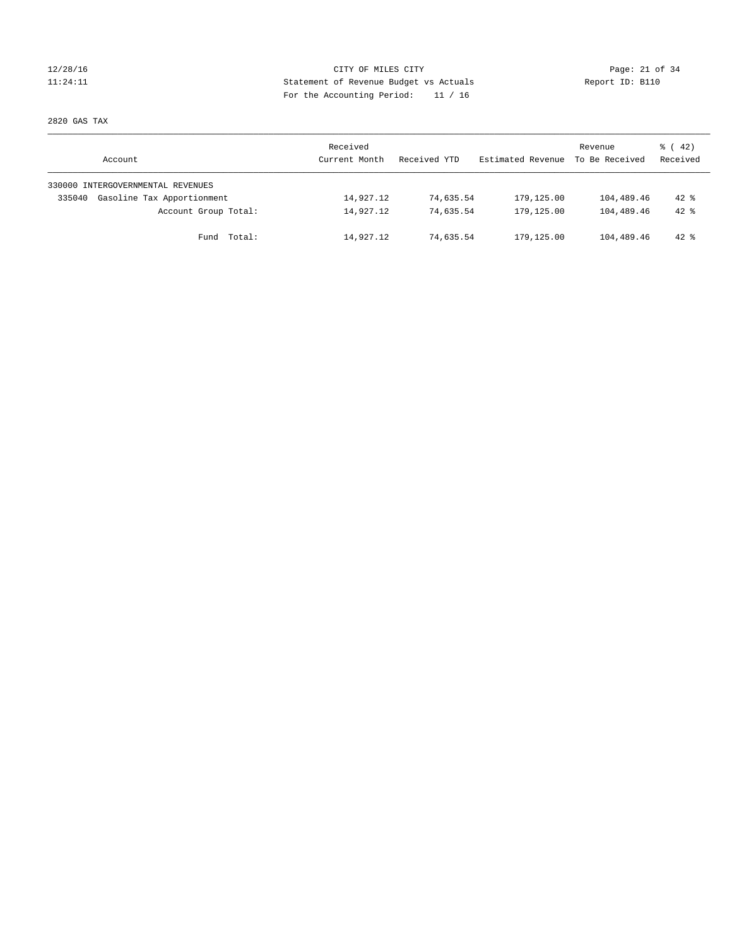### 12/28/16 Page: 21 of 34 11:24:11 Statement of Revenue Budget vs Actuals Report ID: B110 For the Accounting Period: 11 / 16

2820 GAS TAX

| Account                              | Received<br>Current Month | Received YTD | Estimated Revenue | Revenue<br>To Be Received | $\frac{1}{6}$ ( 42)<br>Received |
|--------------------------------------|---------------------------|--------------|-------------------|---------------------------|---------------------------------|
| 330000 INTERGOVERNMENTAL REVENUES    |                           |              |                   |                           |                                 |
| Gasoline Tax Apportionment<br>335040 | 14,927.12                 | 74,635.54    | 179,125.00        | 104,489.46                | $42$ %                          |
| Account Group Total:                 | 14,927.12                 | 74,635.54    | 179,125.00        | 104,489.46                | $42*$                           |
| Total:<br>Fund                       | 14,927.12                 | 74,635.54    | 179,125.00        | 104,489.46                | $42$ %                          |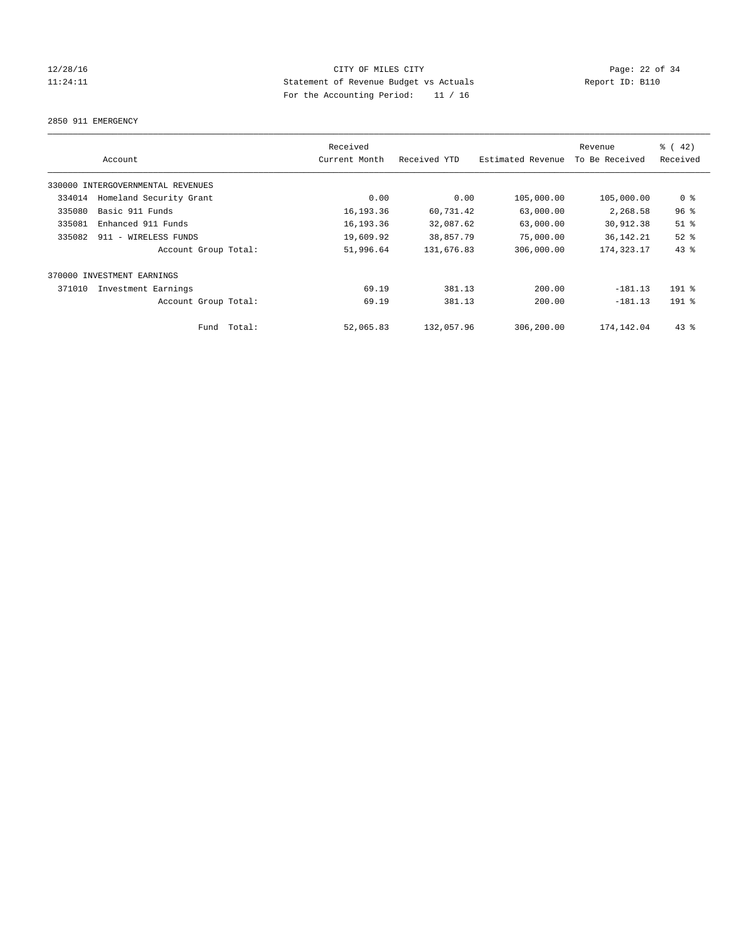### 12/28/16 Page: 22 of 34 11:24:11 Statement of Revenue Budget vs Actuals Report ID: B110 For the Accounting Period: 11 / 16

2850 911 EMERGENCY

| Account                           | Received<br>Current Month | Received YTD | Estimated Revenue | Revenue<br>To Be Received | % (42)<br>Received |
|-----------------------------------|---------------------------|--------------|-------------------|---------------------------|--------------------|
| 330000 INTERGOVERNMENTAL REVENUES |                           |              |                   |                           |                    |
| Homeland Security Grant<br>334014 | 0.00                      | 0.00         | 105,000.00        | 105,000.00                | 0 <sup>8</sup>     |
| Basic 911 Funds<br>335080         | 16,193.36                 | 60,731.42    | 63,000.00         | 2,268.58                  | 96%                |
| 335081<br>Enhanced 911 Funds      | 16,193.36                 | 32,087.62    | 63,000.00         | 30,912.38                 | $51$ %             |
| 335082<br>911 - WIRELESS FUNDS    | 19,609.92                 | 38,857.79    | 75,000.00         | 36, 142. 21               | $52$ $%$           |
| Account Group Total:              | 51,996.64                 | 131,676.83   | 306,000.00        | 174, 323. 17              | 43%                |
| 370000 INVESTMENT EARNINGS        |                           |              |                   |                           |                    |
| 371010<br>Investment Earnings     | 69.19                     | 381.13       | 200.00            | $-181.13$                 | $191$ %            |
| Account Group Total:              | 69.19                     | 381.13       | 200.00            | $-181.13$                 | $191$ %            |
| Fund Total:                       | 52,065.83                 | 132,057.96   | 306,200.00        | 174, 142.04               | $43$ %             |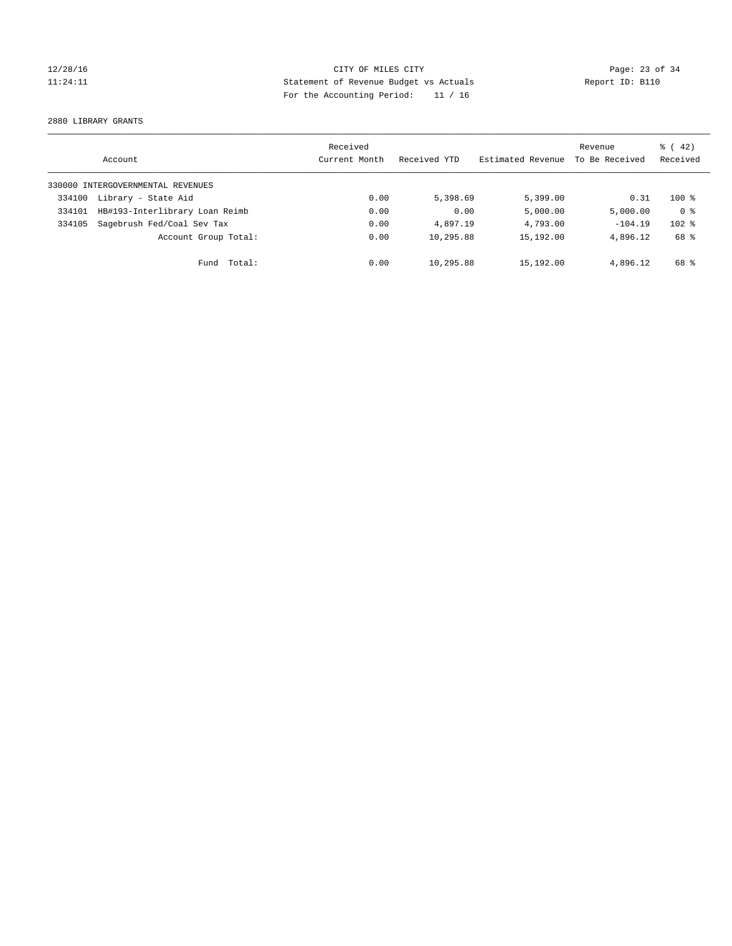### 12/28/16 Page: 23 of 34 11:24:11 Statement of Revenue Budget vs Actuals Report ID: B110 For the Accounting Period: 11 / 16

2880 LIBRARY GRANTS

|        | Account                           | Received<br>Current Month | Received YTD | Estimated Revenue | Revenue<br>To Be Received | $\frac{1}{6}$ ( 42)<br>Received |
|--------|-----------------------------------|---------------------------|--------------|-------------------|---------------------------|---------------------------------|
|        | 330000 INTERGOVERNMENTAL REVENUES |                           |              |                   |                           |                                 |
| 334100 | Library - State Aid               | 0.00                      | 5,398.69     | 5,399.00          | 0.31                      | $100*$                          |
| 334101 | HB#193-Interlibrary Loan Reimb    | 0.00                      | 0.00         | 5,000.00          | 5,000.00                  | 0 <sup>8</sup>                  |
| 334105 | Sagebrush Fed/Coal Sev Tax        | 0.00                      | 4,897.19     | 4,793.00          | $-104.19$                 | $102$ %                         |
|        | Account Group Total:              | 0.00                      | 10,295.88    | 15,192.00         | 4,896.12                  | 68 %                            |
|        | Fund Total:                       | 0.00                      | 10,295.88    | 15,192.00         | 4,896.12                  | 68 %                            |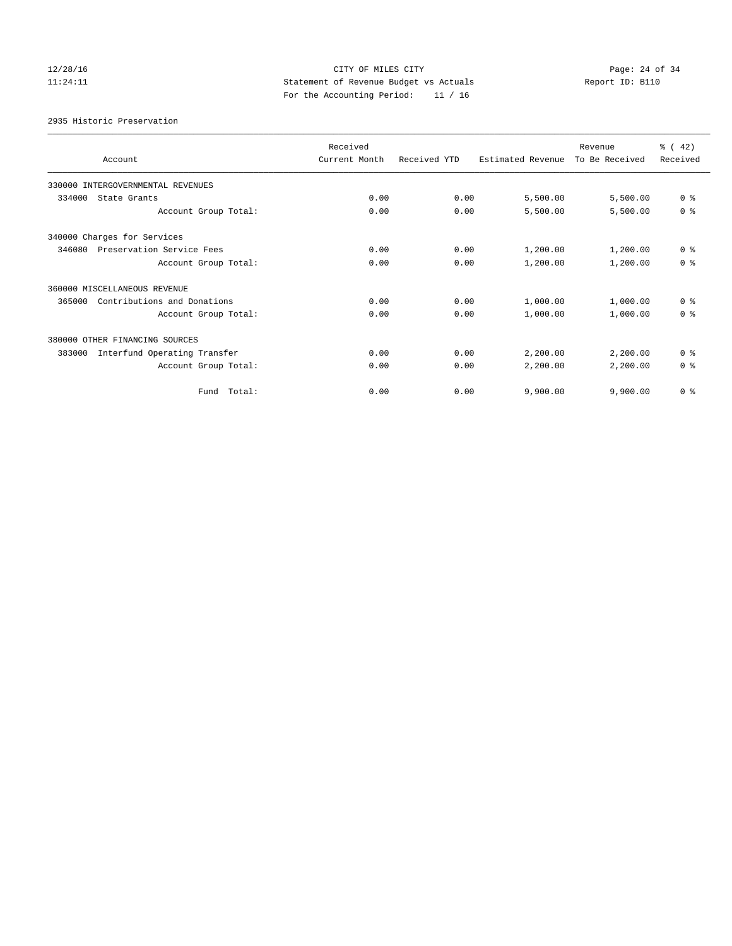# 12/28/16 Page: 24 of 34 11:24:11 Statement of Revenue Budget vs Actuals Report ID: B110 For the Accounting Period: 11 / 16

2935 Historic Preservation

| Account                                | Received<br>Current Month | Received YTD | Estimated Revenue | Revenue<br>To Be Received | $\frac{1}{6}$ ( 42)<br>Received |
|----------------------------------------|---------------------------|--------------|-------------------|---------------------------|---------------------------------|
| 330000 INTERGOVERNMENTAL REVENUES      |                           |              |                   |                           |                                 |
| 334000<br>State Grants                 | 0.00                      | 0.00         | 5,500.00          | 5,500.00                  | 0 <sup>8</sup>                  |
| Account Group Total:                   | 0.00                      | 0.00         | 5,500.00          | 5,500.00                  | 0 <sup>8</sup>                  |
| 340000 Charges for Services            |                           |              |                   |                           |                                 |
| 346080<br>Preservation Service Fees    | 0.00                      | 0.00         | 1,200.00          | 1,200.00                  | 0 <sup>8</sup>                  |
| Account Group Total:                   | 0.00                      | 0.00         | 1,200.00          | 1,200.00                  | 0 <sup>8</sup>                  |
| 360000 MISCELLANEOUS REVENUE           |                           |              |                   |                           |                                 |
| Contributions and Donations<br>365000  | 0.00                      | 0.00         | 1,000.00          | 1,000.00                  | 0 <sup>8</sup>                  |
| Account Group Total:                   | 0.00                      | 0.00         | 1,000.00          | 1,000.00                  | 0 <sup>8</sup>                  |
| 380000 OTHER FINANCING SOURCES         |                           |              |                   |                           |                                 |
| Interfund Operating Transfer<br>383000 | 0.00                      | 0.00         | 2,200.00          | 2,200.00                  | 0 <sup>8</sup>                  |
| Account Group Total:                   | 0.00                      | 0.00         | 2,200.00          | 2,200.00                  | 0 <sup>8</sup>                  |
| Total:<br>Fund                         | 0.00                      | 0.00         | 9,900.00          | 9,900.00                  | 0 <sup>8</sup>                  |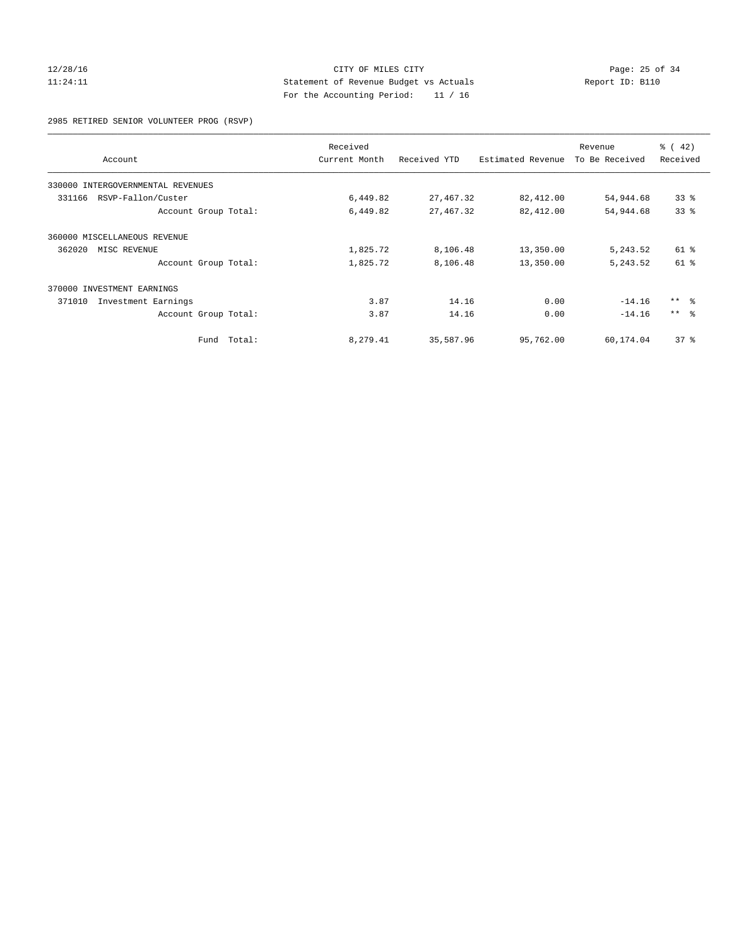### 12/28/16 Page: 25 of 34 11:24:11 Statement of Revenue Budget vs Actuals Report ID: B110 For the Accounting Period: 11 / 16

2985 RETIRED SENIOR VOLUNTEER PROG (RSVP)

|                                   |        | Received      |              |                   | Revenue        | $\frac{3}{6}$ ( 42) |
|-----------------------------------|--------|---------------|--------------|-------------------|----------------|---------------------|
| Account                           |        | Current Month | Received YTD | Estimated Revenue | To Be Received | Received            |
| 330000 INTERGOVERNMENTAL REVENUES |        |               |              |                   |                |                     |
| RSVP-Fallon/Custer<br>331166      |        | 6,449.82      | 27, 467.32   | 82,412.00         | 54,944.68      | 33%                 |
| Account Group Total:              |        | 6,449.82      | 27, 467.32   | 82,412.00         | 54,944.68      | 33%                 |
| 360000 MISCELLANEOUS REVENUE      |        |               |              |                   |                |                     |
| 362020<br>MISC REVENUE            |        | 1,825.72      | 8,106.48     | 13,350.00         | 5,243.52       | 61 %                |
| Account Group Total:              |        | 1,825.72      | 8,106.48     | 13,350.00         | 5, 243.52      | $61$ $%$            |
| 370000 INVESTMENT EARNINGS        |        |               |              |                   |                |                     |
| 371010<br>Investment Earnings     |        | 3.87          | 14.16        | 0.00              | $-14.16$       | $***$ $ -$          |
| Account Group Total:              |        | 3.87          | 14.16        | 0.00              | $-14.16$       | $***$ $\approx$     |
| Fund                              | Total: | 8,279.41      | 35,587.96    | 95,762.00         | 60,174.04      | 37%                 |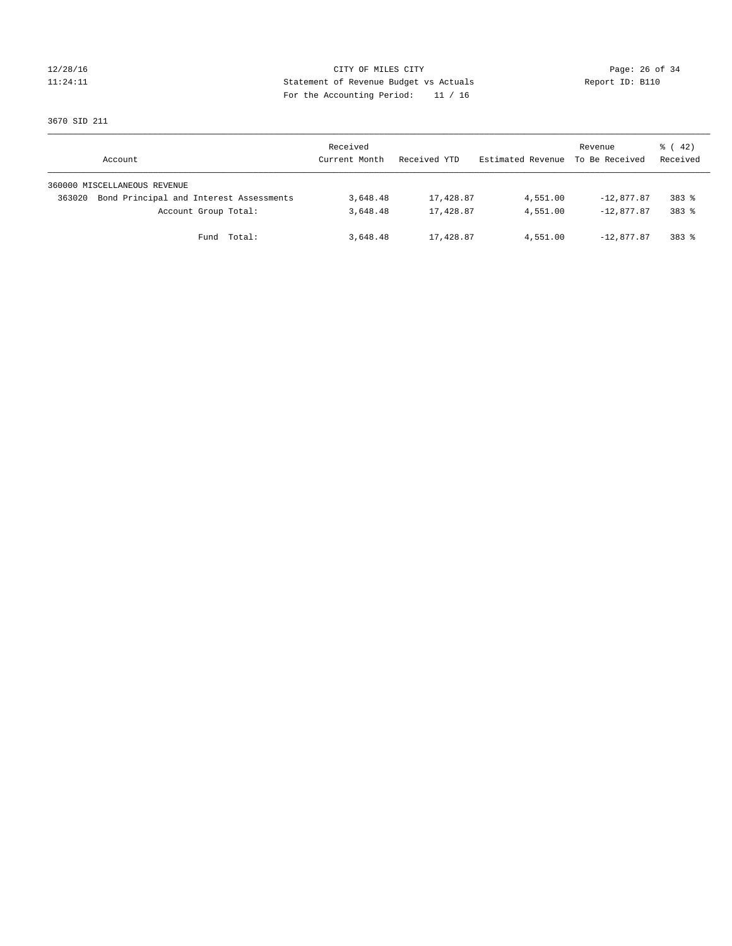### 12/28/16 Page: 26 of 34 11:24:11 Statement of Revenue Budget vs Actuals Report ID: B110 For the Accounting Period: 11 / 16

3670 SID 211

|        | Account                                 | Received<br>Current Month | Received YTD | Estimated Revenue | Revenue<br>To Be Received | $\frac{1}{6}$ ( 42)<br>Received |
|--------|-----------------------------------------|---------------------------|--------------|-------------------|---------------------------|---------------------------------|
|        | 360000 MISCELLANEOUS REVENUE            |                           |              |                   |                           |                                 |
| 363020 | Bond Principal and Interest Assessments | 3,648.48                  | 17,428.87    | 4,551.00          | $-12,877.87$              | $383$ $%$                       |
|        | Account Group Total:                    | 3,648.48                  | 17,428.87    | 4,551.00          | $-12.877.87$              | 383 %                           |
|        | Fund Total:                             | 3,648.48                  | 17,428.87    | 4,551.00          | $-12.877.87$              | 383 %                           |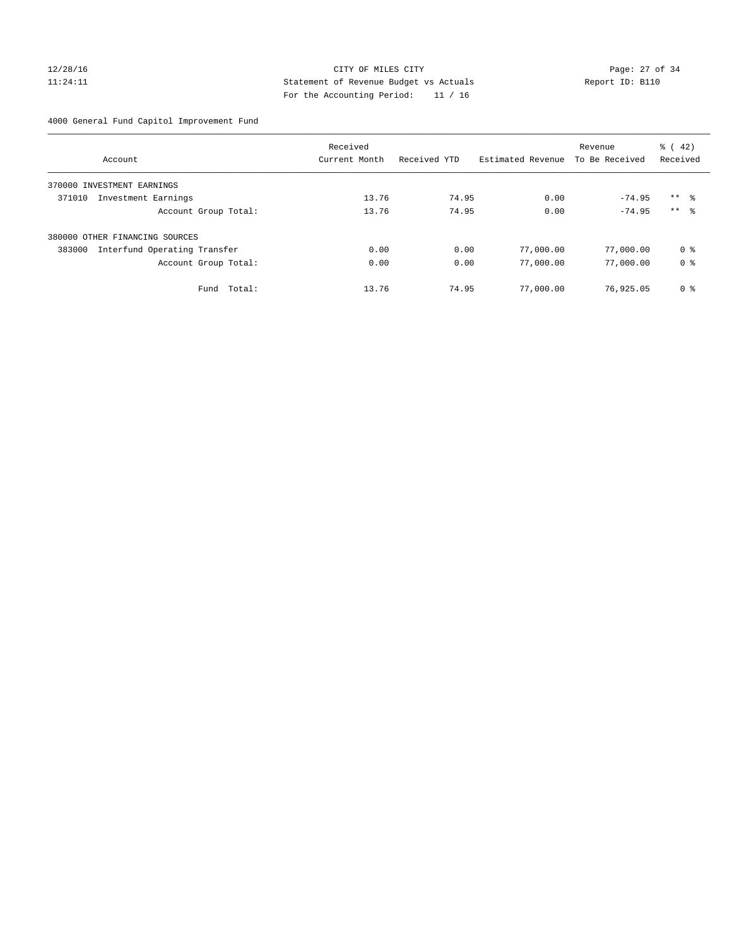### 12/28/16 Page: 27 of 34 11:24:11 Statement of Revenue Budget vs Actuals Report ID: B110 For the Accounting Period: 11 / 16

4000 General Fund Capitol Improvement Fund

|                                        | Received      |              |                   | Revenue        | $\frac{1}{6}$ ( 42) |
|----------------------------------------|---------------|--------------|-------------------|----------------|---------------------|
| Account                                | Current Month | Received YTD | Estimated Revenue | To Be Received | Received            |
| 370000 INVESTMENT EARNINGS             |               |              |                   |                |                     |
| 371010<br>Investment Earnings          | 13.76         | 74.95        | 0.00              | $-74.95$       | $***$ $\frac{6}{3}$ |
| Account Group Total:                   | 13.76         | 74.95        | 0.00              | $-74.95$       | $***$ $\approx$     |
| 380000 OTHER FINANCING SOURCES         |               |              |                   |                |                     |
| Interfund Operating Transfer<br>383000 | 0.00          | 0.00         | 77,000.00         | 77,000.00      | 0 ક                 |
| Account Group Total:                   | 0.00          | 0.00         | 77,000.00         | 77,000.00      | 0 <sup>8</sup>      |
| Total:<br>Fund                         | 13.76         | 74.95        | 77,000.00         | 76,925.05      | 0 <sup>8</sup>      |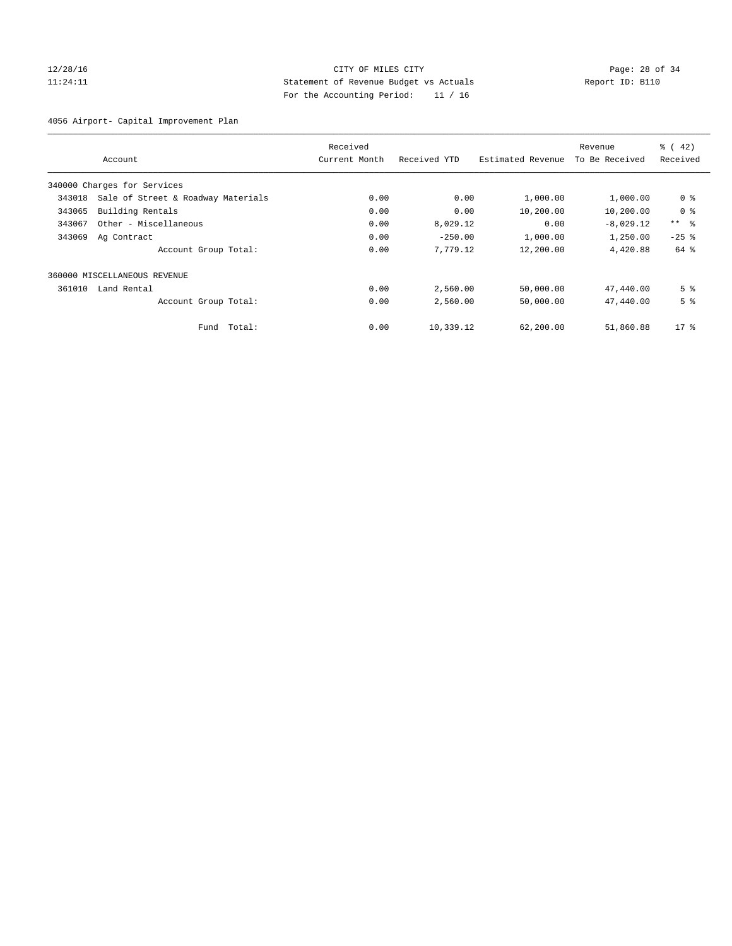### 12/28/16 Page: 28 of 34 11:24:11 Statement of Revenue Budget vs Actuals Report ID: B110 For the Accounting Period: 11 / 16

4056 Airport- Capital Improvement Plan

|        |                                    | Received      |              |                   | Revenue        | $\frac{1}{6}$ (42) |
|--------|------------------------------------|---------------|--------------|-------------------|----------------|--------------------|
|        | Account                            | Current Month | Received YTD | Estimated Revenue | To Be Received | Received           |
|        | 340000 Charges for Services        |               |              |                   |                |                    |
| 343018 | Sale of Street & Roadway Materials | 0.00          | 0.00         | 1,000.00          | 1,000.00       | 0 <sup>8</sup>     |
| 343065 | Building Rentals                   | 0.00          | 0.00         | 10,200.00         | 10,200.00      | 0 <sup>8</sup>     |
| 343067 | Other - Miscellaneous              | 0.00          | 8,029.12     | 0.00              | $-8,029.12$    | $***$ $\approx$    |
| 343069 | Ag Contract                        | 0.00          | $-250.00$    | 1,000.00          | 1,250.00       | $-25$ $%$          |
|        | Account Group Total:               | 0.00          | 7,779.12     | 12,200.00         | 4,420.88       | 64 %               |
|        | 360000 MISCELLANEOUS REVENUE       |               |              |                   |                |                    |
| 361010 | Land Rental                        | 0.00          | 2,560.00     | 50,000.00         | 47,440.00      | 5 <sup>8</sup>     |
|        | Account Group Total:               | 0.00          | 2,560.00     | 50,000.00         | 47,440.00      | 5 <sup>8</sup>     |
|        | Total:<br>Fund                     | 0.00          | 10,339.12    | 62,200.00         | 51,860.88      | $17*$              |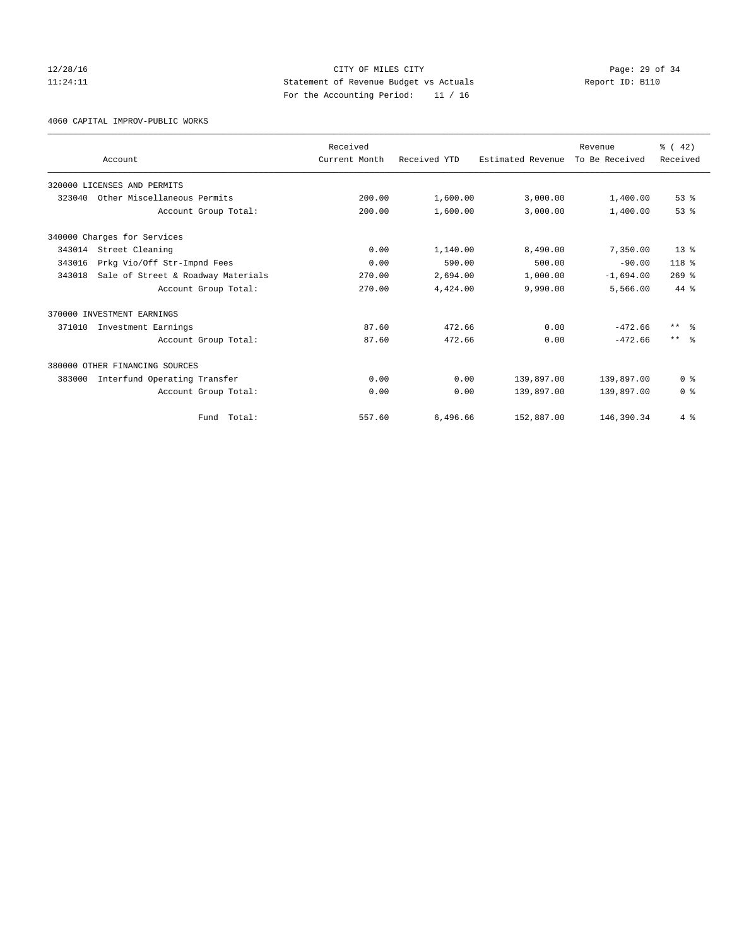### 12/28/16 Page: 29 of 34 11:24:11 Statement of Revenue Budget vs Actuals Report ID: B110 For the Accounting Period: 11 / 16

4060 CAPITAL IMPROV-PUBLIC WORKS

|        |                                    | Received      |              |                   | Revenue        | $\frac{3}{6}$ ( 42) |
|--------|------------------------------------|---------------|--------------|-------------------|----------------|---------------------|
|        | Account                            | Current Month | Received YTD | Estimated Revenue | To Be Received | Received            |
|        | 320000 LICENSES AND PERMITS        |               |              |                   |                |                     |
| 323040 | Other Miscellaneous Permits        | 200.00        | 1,600.00     | 3,000.00          | 1,400.00       | 53%                 |
|        | Account Group Total:               | 200.00        | 1,600.00     | 3,000.00          | 1,400.00       | 53 <sup>8</sup>     |
|        | 340000 Charges for Services        |               |              |                   |                |                     |
| 343014 | Street Cleaning                    | 0.00          | 1,140.00     | 8,490.00          | 7,350.00       | $13*$               |
| 343016 | Prkg Vio/Off Str-Impnd Fees        | 0.00          | 590.00       | 500.00            | $-90.00$       | 118 <sup>8</sup>    |
| 343018 | Sale of Street & Roadway Materials | 270.00        | 2,694.00     | 1,000.00          | $-1,694.00$    | $269$ $%$           |
|        | Account Group Total:               | 270.00        | 4,424.00     | 9,990.00          | 5,566.00       | 44 %                |
|        | 370000 INVESTMENT EARNINGS         |               |              |                   |                |                     |
| 371010 | Investment Earnings                | 87.60         | 472.66       | 0.00              | $-472.66$      | $***$ $\approx$     |
|        | Account Group Total:               | 87.60         | 472.66       | 0.00              | $-472.66$      | $***$ $\approx$     |
|        | 380000 OTHER FINANCING SOURCES     |               |              |                   |                |                     |
| 383000 | Interfund Operating Transfer       | 0.00          | 0.00         | 139,897.00        | 139,897.00     | 0 <sup>8</sup>      |
|        | Account Group Total:               | 0.00          | 0.00         | 139,897.00        | 139,897.00     | 0 <sup>8</sup>      |
|        | Total:<br>Fund                     | 557.60        | 6,496.66     | 152,887.00        | 146,390.34     | 4%                  |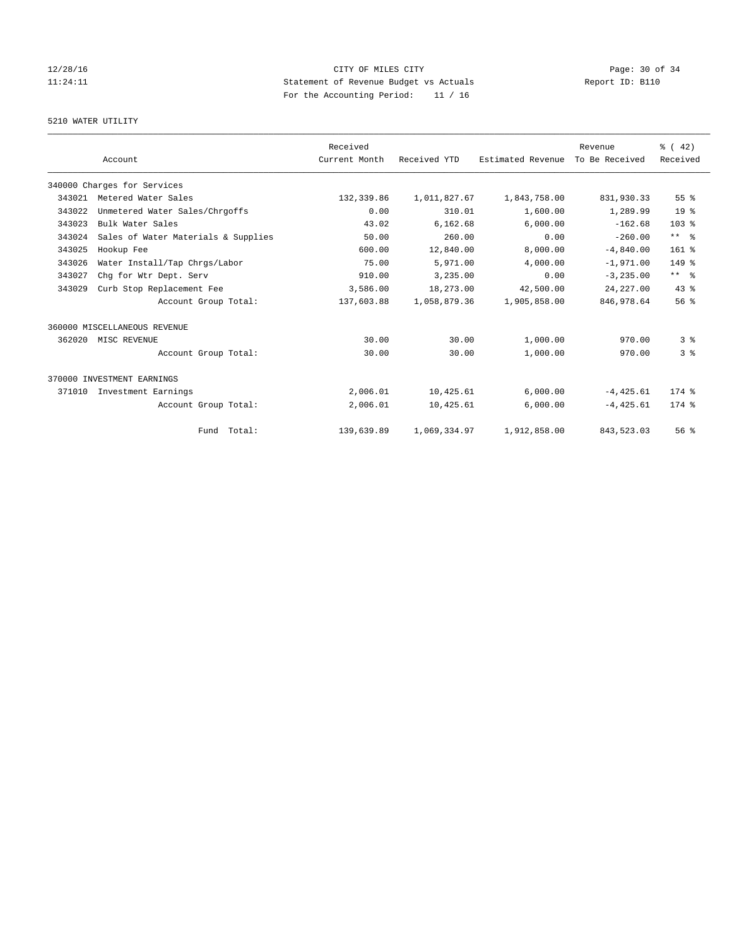# 12/28/16 Page: 30 of 34 11:24:11 Statement of Revenue Budget vs Actuals Report ID: B110 For the Accounting Period: 11 / 16

#### 5210 WATER UTILITY

|        |                                     | Received      |              |                   | Revenue        | $\frac{3}{6}$ ( 42) |
|--------|-------------------------------------|---------------|--------------|-------------------|----------------|---------------------|
|        | Account                             | Current Month | Received YTD | Estimated Revenue | To Be Received | Received            |
|        | 340000 Charges for Services         |               |              |                   |                |                     |
| 343021 | Metered Water Sales                 | 132,339.86    | 1,011,827.67 | 1,843,758.00      | 831,930.33     | $55$ $%$            |
| 343022 | Unmetered Water Sales/Chrgoffs      | 0.00          | 310.01       | 1,600.00          | 1,289.99       | 19 <sup>°</sup>     |
| 343023 | Bulk Water Sales                    | 43.02         | 6,162.68     | 6,000.00          | $-162.68$      | 103 <sub>8</sub>    |
| 343024 | Sales of Water Materials & Supplies | 50.00         | 260.00       | 0.00              | $-260.00$      | $***$ $ -$          |
| 343025 | Hookup Fee                          | 600.00        | 12,840.00    | 8,000.00          | $-4,840.00$    | $161$ %             |
| 343026 | Water Install/Tap Chrgs/Labor       | 75.00         | 5,971.00     | 4,000.00          | $-1,971.00$    | 149 %               |
| 343027 | Chq for Wtr Dept. Serv              | 910.00        | 3,235.00     | 0.00              | $-3, 235.00$   | $***$ $ -$          |
| 343029 | Curb Stop Replacement Fee           | 3,586.00      | 18,273.00    | 42,500.00         | 24, 227.00     | 43.8                |
|        | Account Group Total:                | 137,603.88    | 1,058,879.36 | 1,905,858.00      | 846, 978.64    | 56 <sup>8</sup>     |
|        | 360000 MISCELLANEOUS REVENUE        |               |              |                   |                |                     |
| 362020 | MISC REVENUE                        | 30.00         | 30.00        | 1,000.00          | 970.00         | 3 <sup>8</sup>      |
|        | Account Group Total:                | 30.00         | 30.00        | 1,000.00          | 970.00         | 38                  |
|        | 370000 INVESTMENT EARNINGS          |               |              |                   |                |                     |
| 371010 | Investment Earnings                 | 2,006.01      | 10,425.61    | 6,000.00          | $-4,425.61$    | $174$ $%$           |
|        | Account Group Total:                | 2,006.01      | 10,425.61    | 6,000.00          | $-4, 425.61$   | $174$ $%$           |
|        | Fund Total:                         | 139,639.89    | 1,069,334.97 | 1,912,858.00      | 843,523.03     | 56%                 |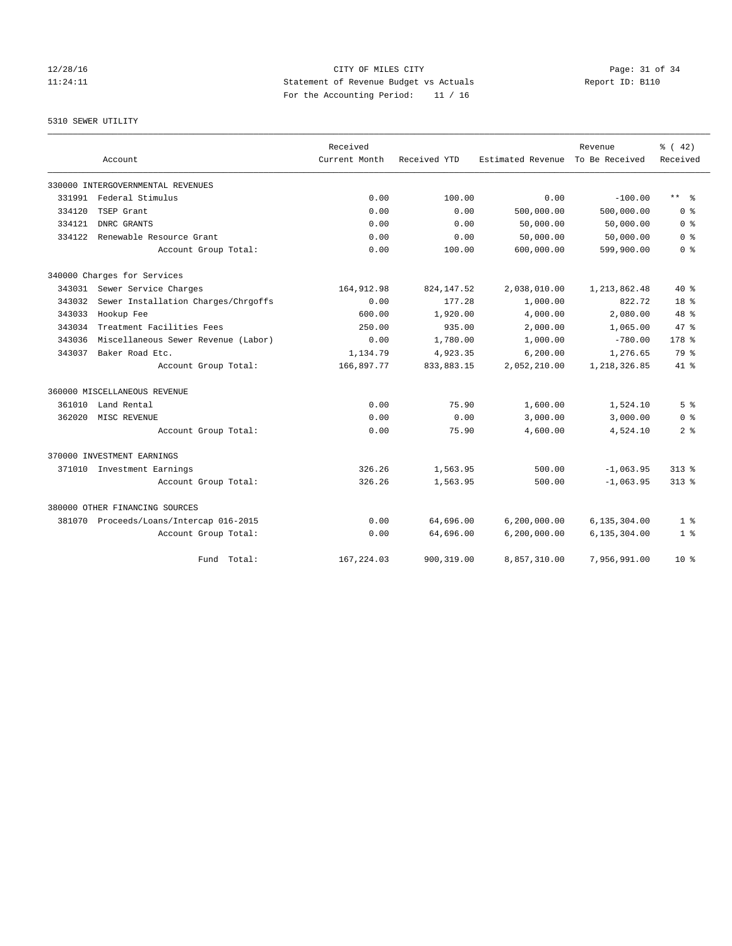### 12/28/16 Page: 31 of 34 11:24:11 Statement of Revenue Budget vs Actuals Report ID: B110 For the Accounting Period: 11 / 16

5310 SEWER UTILITY

|        |                                         | Received      |              |                                  | Revenue        | % (42)         |
|--------|-----------------------------------------|---------------|--------------|----------------------------------|----------------|----------------|
|        | Account                                 | Current Month | Received YTD | Estimated Revenue To Be Received |                | Received       |
|        | 330000 INTERGOVERNMENTAL REVENUES       |               |              |                                  |                |                |
| 331991 | Federal Stimulus                        | 0.00          | 100.00       | 0.00                             | $-100.00$      | $***$ $ -$     |
| 334120 | TSEP Grant                              | 0.00          | 0.00         | 500,000.00                       | 500,000.00     | 0 <sup>8</sup> |
| 334121 | DNRC GRANTS                             | 0.00          | 0.00         | 50,000.00                        | 50,000.00      | 0 <sup>8</sup> |
| 334122 | Renewable Resource Grant                | 0.00          | 0.00         | 50,000.00                        | 50,000.00      | 0 <sup>8</sup> |
|        | Account Group Total:                    | 0.00          | 100.00       | 600,000.00                       | 599,900.00     | 0 <sup>8</sup> |
|        | 340000 Charges for Services             |               |              |                                  |                |                |
|        | 343031 Sewer Service Charges            | 164, 912.98   | 824, 147.52  | 2,038,010.00                     | 1, 213, 862.48 | $40*$          |
| 343032 | Sewer Installation Charges/Chrgoffs     | 0.00          | 177.28       | 1,000.00                         | 822.72         | 18 %           |
| 343033 | Hookup Fee                              | 600.00        | 1,920.00     | 4,000.00                         | 2,080.00       | 48 %           |
| 343034 | Treatment Facilities Fees               | 250.00        | 935.00       | 2,000.00                         | 1,065.00       | 47.8           |
| 343036 | Miscellaneous Sewer Revenue (Labor)     | 0.00          | 1,780.00     | 1,000.00                         | $-780.00$      | 178 %          |
| 343037 | Baker Road Etc.                         | 1,134.79      | 4,923.35     | 6,200.00                         | 1,276.65       | 79 %           |
|        | Account Group Total:                    | 166,897.77    | 833,883.15   | 2,052,210.00                     | 1,218,326.85   | $41*$          |
|        | 360000 MISCELLANEOUS REVENUE            |               |              |                                  |                |                |
| 361010 | Land Rental                             | 0.00          | 75.90        | 1,600.00                         | 1,524.10       | 5 <sup>8</sup> |
| 362020 | MISC REVENUE                            | 0.00          | 0.00         | 3,000.00                         | 3,000.00       | 0 <sup>8</sup> |
|        | Account Group Total:                    | 0.00          | 75.90        | 4,600.00                         | 4,524.10       | 2 <sup>8</sup> |
|        | 370000 INVESTMENT EARNINGS              |               |              |                                  |                |                |
|        | 371010 Investment Earnings              | 326.26        | 1,563.95     | 500.00                           | $-1,063.95$    | $313*$         |
|        | Account Group Total:                    | 326.26        | 1,563.95     | 500.00                           | $-1,063.95$    | $313*$         |
|        | 380000 OTHER FINANCING SOURCES          |               |              |                                  |                |                |
|        | 381070 Proceeds/Loans/Intercap 016-2015 | 0.00          | 64,696.00    | 6, 200, 000.00                   | 6,135,304.00   | 1 <sup>8</sup> |
|        | Account Group Total:                    | 0.00          | 64,696.00    | 6,200,000.00                     | 6,135,304.00   | 1 <sup>8</sup> |
|        | Fund Total:                             | 167, 224, 03  | 900, 319, 00 | 8,857,310.00                     | 7,956,991.00   | $10*$          |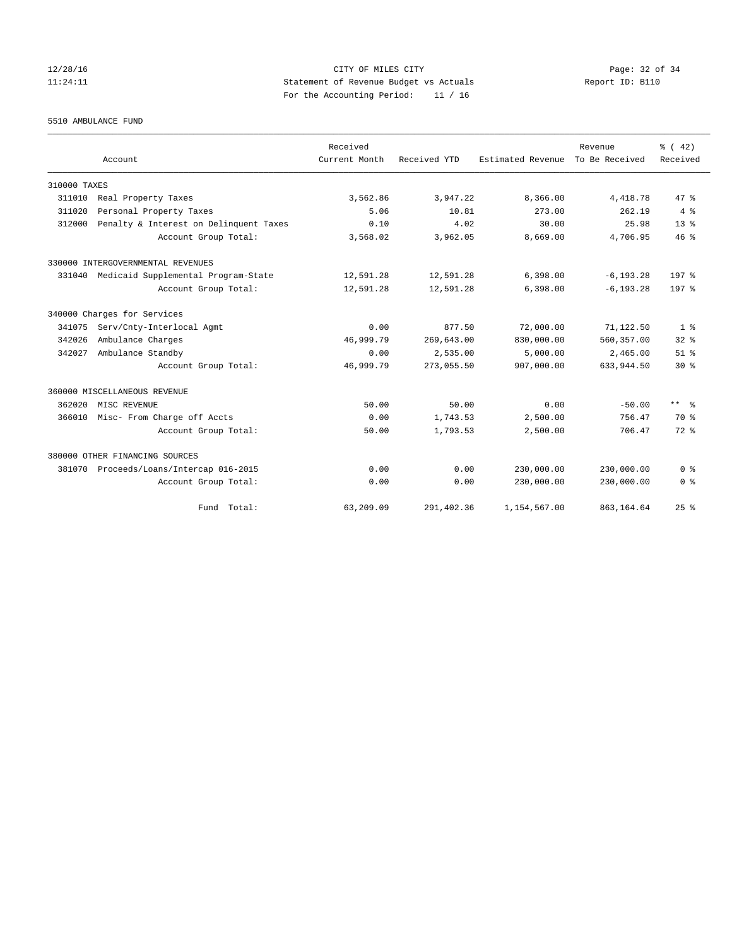### 12/28/16 Page: 32 of 34 11:24:11 Statement of Revenue Budget vs Actuals Report ID: B110 For the Accounting Period: 11 / 16

5510 AMBULANCE FUND

|              | Account                                | Received<br>Current Month | Received YTD | Estimated Revenue | Revenue<br>To Be Received | $\frac{1}{6}$ ( 42)<br>Received |
|--------------|----------------------------------------|---------------------------|--------------|-------------------|---------------------------|---------------------------------|
| 310000 TAXES |                                        |                           |              |                   |                           |                                 |
| 311010       | Real Property Taxes                    | 3,562.86                  | 3,947.22     | 8,366.00          | 4,418.78                  | 47.8                            |
| 311020       | Personal Property Taxes                | 5.06                      | 10.81        | 273.00            | 262.19                    | 4%                              |
| 312000       | Penalty & Interest on Delinquent Taxes | 0.10                      | 4.02         | 30.00             | 25.98                     | 13 <sup>8</sup>                 |
|              | Account Group Total:                   | 3,568.02                  | 3,962.05     | 8,669.00          | 4,706.95                  | 46%                             |
|              | 330000 INTERGOVERNMENTAL REVENUES      |                           |              |                   |                           |                                 |
| 331040       | Medicaid Supplemental Program-State    | 12,591.28                 | 12,591.28    | 6,398.00          | $-6, 193.28$              | 197 <sub>8</sub>                |
|              | Account Group Total:                   | 12,591.28                 | 12,591.28    | 6,398.00          | $-6.193.28$               | 197 <sub>8</sub>                |
|              | 340000 Charges for Services            |                           |              |                   |                           |                                 |
| 341075       | Serv/Cnty-Interlocal Agmt              | 0.00                      | 877.50       | 72,000.00         | 71,122.50                 | 1 <sup>8</sup>                  |
| 342026       | Ambulance Charges                      | 46,999.79                 | 269,643.00   | 830,000.00        | 560, 357.00               | $32*$                           |
| 342027       | Ambulance Standby                      | 0.00                      | 2,535.00     | 5,000.00          | 2,465.00                  | $51$ $%$                        |
|              | Account Group Total:                   | 46,999.79                 | 273,055.50   | 907,000.00        | 633, 944.50               | $30*$                           |
|              | 360000 MISCELLANEOUS REVENUE           |                           |              |                   |                           |                                 |
| 362020       | MISC REVENUE                           | 50.00                     | 50.00        | 0.00              | $-50.00$                  | $***$ $ -$                      |
| 366010       | Misc- From Charge off Accts            | 0.00                      | 1,743.53     | 2,500.00          | 756.47                    | 70 %                            |
|              | Account Group Total:                   | 50.00                     | 1,793.53     | 2,500.00          | 706.47                    | 72 %                            |
|              | 380000 OTHER FINANCING SOURCES         |                           |              |                   |                           |                                 |
| 381070       | Proceeds/Loans/Intercap 016-2015       | 0.00                      | 0.00         | 230,000.00        | 230,000.00                | 0 <sup>8</sup>                  |
|              | Account Group Total:                   | 0.00                      | 0.00         | 230,000.00        | 230,000.00                | 0 <sup>8</sup>                  |
|              | Fund Total:                            | 63,209.09                 | 291,402.36   | 1,154,567.00      | 863, 164.64               | 25%                             |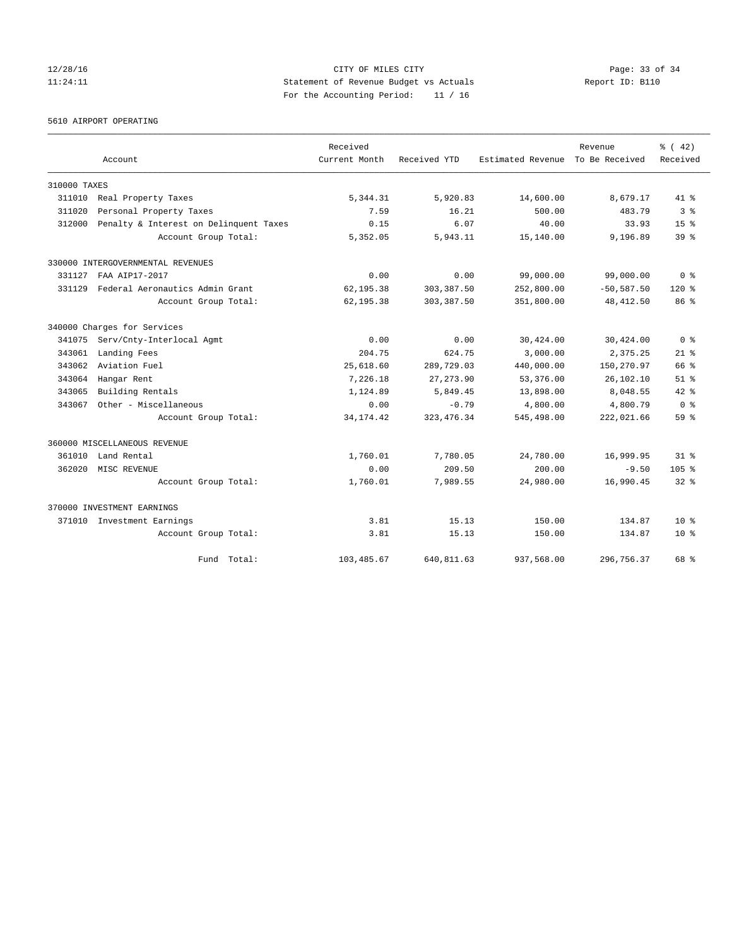### 12/28/16 Page: 33 of 34 11:24:11 Statement of Revenue Budget vs Actuals Report ID: B110 For the Accounting Period: 11 / 16

5610 AIRPORT OPERATING

|              |                                        | Received      |              |                   | Revenue        | $\frac{6}{6}$ ( 42) |
|--------------|----------------------------------------|---------------|--------------|-------------------|----------------|---------------------|
| Account      |                                        | Current Month | Received YTD | Estimated Revenue | To Be Received | Received            |
| 310000 TAXES |                                        |               |              |                   |                |                     |
| 311010       | Real Property Taxes                    | 5,344.31      | 5,920.83     | 14,600.00         | 8,679.17       | $41*$               |
| 311020       | Personal Property Taxes                | 7.59          | 16.21        | 500.00            | 483.79         | 3 <sup>8</sup>      |
| 312000       | Penalty & Interest on Delinquent Taxes | 0.15          | 6.07         | 40.00             | 33.93          | $15*$               |
|              | Account Group Total:                   | 5,352.05      | 5,943.11     | 15,140.00         | 9,196.89       | 39 <sup>8</sup>     |
|              | 330000 INTERGOVERNMENTAL REVENUES      |               |              |                   |                |                     |
| 331127       | FAA ATP17-2017                         | 0.00          | 0.00         | 99,000.00         | 99,000.00      | 0 <sup>8</sup>      |
| 331129       | Federal Aeronautics Admin Grant        | 62,195.38     | 303, 387.50  | 252,800.00        | $-50, 587.50$  | $120*$              |
|              | Account Group Total:                   | 62,195.38     | 303, 387.50  | 351,800.00        | 48, 412.50     | 86 %                |
|              | 340000 Charges for Services            |               |              |                   |                |                     |
| 341075       | Serv/Cnty-Interlocal Agmt              | 0.00          | 0.00         | 30,424.00         | 30,424.00      | 0 <sup>8</sup>      |
| 343061       | Landing Fees                           | 204.75        | 624.75       | 3,000.00          | 2,375.25       | $21*$               |
| 343062       | Aviation Fuel                          | 25,618.60     | 289,729.03   | 440,000.00        | 150,270.97     | 66 %                |
| 343064       | Hangar Rent                            | 7,226.18      | 27, 273.90   | 53,376.00         | 26,102.10      | $51$ $%$            |
| 343065       | Building Rentals                       | 1,124.89      | 5,849.45     | 13,898.00         | 8,048.55       | $42*$               |
| 343067       | Other - Miscellaneous                  | 0.00          | $-0.79$      | 4,800.00          | 4,800.79       | 0 <sup>8</sup>      |
|              | Account Group Total:                   | 34, 174. 42   | 323, 476.34  | 545,498.00        | 222,021.66     | 59 <sup>8</sup>     |
|              | 360000 MISCELLANEOUS REVENUE           |               |              |                   |                |                     |
| 361010       | Land Rental                            | 1,760.01      | 7,780.05     | 24,780.00         | 16,999.95      | 31 <sup>8</sup>     |
| 362020       | MISC REVENUE                           | 0.00          | 209.50       | 200.00            | $-9.50$        | 105 <sub>8</sub>    |
|              | Account Group Total:                   | 1,760.01      | 7,989.55     | 24,980.00         | 16,990.45      | $32*$               |
|              | 370000 INVESTMENT EARNINGS             |               |              |                   |                |                     |
|              | 371010 Investment Earnings             | 3.81          | 15.13        | 150.00            | 134.87         | $10*$               |
|              | Account Group Total:                   | 3.81          | 15.13        | 150.00            | 134.87         | $10*$               |
|              | Fund Total:                            | 103, 485.67   | 640,811.63   | 937,568.00        | 296,756.37     | 68 %                |